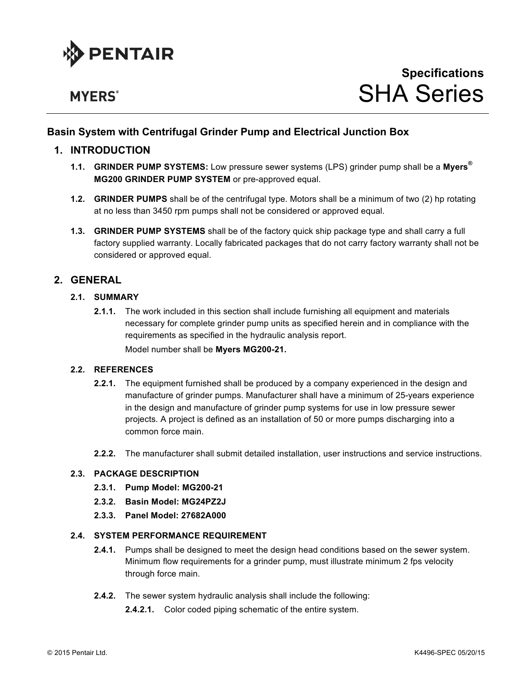

# **MYERS**<sup>®</sup>

# **Basin System with Centrifugal Grinder Pump and Electrical Junction Box**

# **1. INTRODUCTION**

- **1.1. GRINDER PUMP SYSTEMS:** Low pressure sewer systems (LPS) grinder pump shall be a **Myers® MG200 GRINDER PUMP SYSTEM** or pre-approved equal.
- **1.2. GRINDER PUMPS** shall be of the centrifugal type. Motors shall be a minimum of two (2) hp rotating at no less than 3450 rpm pumps shall not be considered or approved equal.
- **1.3. GRINDER PUMP SYSTEMS** shall be of the factory quick ship package type and shall carry a full factory supplied warranty. Locally fabricated packages that do not carry factory warranty shall not be considered or approved equal.

# **2. GENERAL**

# **2.1. SUMMARY**

**2.1.1.** The work included in this section shall include furnishing all equipment and materials necessary for complete grinder pump units as specified herein and in compliance with the requirements as specified in the hydraulic analysis report. Model number shall be **Myers MG200-21.**

# **2.2. REFERENCES**

- **2.2.1.** The equipment furnished shall be produced by a company experienced in the design and manufacture of grinder pumps. Manufacturer shall have a minimum of 25-years experience in the design and manufacture of grinder pump systems for use in low pressure sewer projects. A project is defined as an installation of 50 or more pumps discharging into a common force main.
- **2.2.2.** The manufacturer shall submit detailed installation, user instructions and service instructions.

### **2.3. PACKAGE DESCRIPTION**

- **2.3.1. Pump Model: MG200-21**
- **2.3.2. Basin Model: MG24PZ2J**
- **2.3.3. Panel Model: 27682A000**

#### **2.4. SYSTEM PERFORMANCE REQUIREMENT**

- **2.4.1.** Pumps shall be designed to meet the design head conditions based on the sewer system. Minimum flow requirements for a grinder pump, must illustrate minimum 2 fps velocity through force main.
- **2.4.2.** The sewer system hydraulic analysis shall include the following:
	- **2.4.2.1.** Color coded piping schematic of the entire system.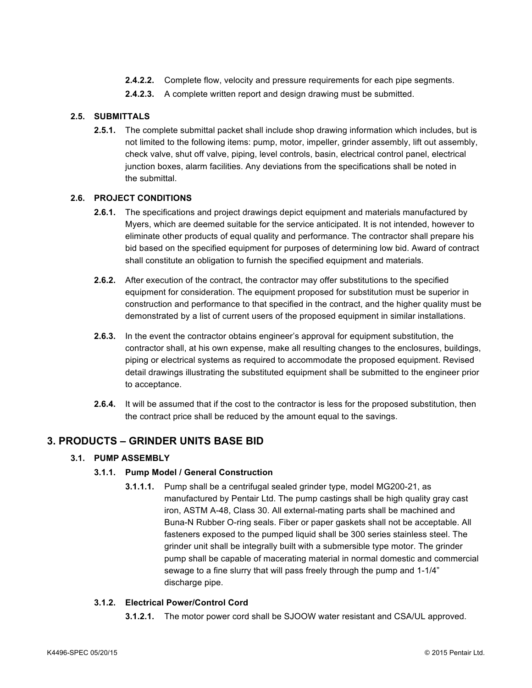- **2.4.2.2.** Complete flow, velocity and pressure requirements for each pipe segments.
- **2.4.2.3.** A complete written report and design drawing must be submitted.

# **2.5. SUBMITTALS**

**2.5.1.** The complete submittal packet shall include shop drawing information which includes, but is not limited to the following items: pump, motor, impeller, grinder assembly, lift out assembly, check valve, shut off valve, piping, level controls, basin, electrical control panel, electrical junction boxes, alarm facilities. Any deviations from the specifications shall be noted in the submittal.

# **2.6. PROJECT CONDITIONS**

- **2.6.1.** The specifications and project drawings depict equipment and materials manufactured by Myers, which are deemed suitable for the service anticipated. It is not intended, however to eliminate other products of equal quality and performance. The contractor shall prepare his bid based on the specified equipment for purposes of determining low bid. Award of contract shall constitute an obligation to furnish the specified equipment and materials.
- **2.6.2.** After execution of the contract, the contractor may offer substitutions to the specified equipment for consideration. The equipment proposed for substitution must be superior in construction and performance to that specified in the contract, and the higher quality must be demonstrated by a list of current users of the proposed equipment in similar installations.
- **2.6.3.** In the event the contractor obtains engineer's approval for equipment substitution, the contractor shall, at his own expense, make all resulting changes to the enclosures, buildings, piping or electrical systems as required to accommodate the proposed equipment. Revised detail drawings illustrating the substituted equipment shall be submitted to the engineer prior to acceptance.
- **2.6.4.** It will be assumed that if the cost to the contractor is less for the proposed substitution, then the contract price shall be reduced by the amount equal to the savings.

# **3. PRODUCTS – GRINDER UNITS BASE BID**

# **3.1. PUMP ASSEMBLY**

#### **3.1.1. Pump Model / General Construction**

**3.1.1.1.** Pump shall be a centrifugal sealed grinder type, model MG200-21, as manufactured by Pentair Ltd. The pump castings shall be high quality gray cast iron, ASTM A-48, Class 30. All external-mating parts shall be machined and Buna-N Rubber O-ring seals. Fiber or paper gaskets shall not be acceptable. All fasteners exposed to the pumped liquid shall be 300 series stainless steel. The grinder unit shall be integrally built with a submersible type motor. The grinder pump shall be capable of macerating material in normal domestic and commercial sewage to a fine slurry that will pass freely through the pump and 1-1/4" discharge pipe.

# **3.1.2. Electrical Power/Control Cord**

**3.1.2.1.** The motor power cord shall be SJOOW water resistant and CSA/UL approved.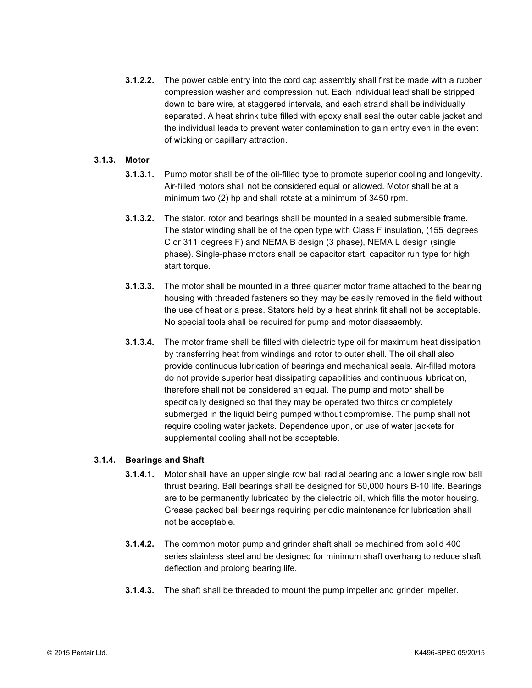**3.1.2.2.** The power cable entry into the cord cap assembly shall first be made with a rubber compression washer and compression nut. Each individual lead shall be stripped down to bare wire, at staggered intervals, and each strand shall be individually separated. A heat shrink tube filled with epoxy shall seal the outer cable jacket and the individual leads to prevent water contamination to gain entry even in the event of wicking or capillary attraction.

# **3.1.3. Motor**

- **3.1.3.1.** Pump motor shall be of the oil-filled type to promote superior cooling and longevity. Air-filled motors shall not be considered equal or allowed. Motor shall be at a minimum two (2) hp and shall rotate at a minimum of 3450 rpm.
- **3.1.3.2.** The stator, rotor and bearings shall be mounted in a sealed submersible frame. The stator winding shall be of the open type with Class F insulation, (155 degrees C or 311 degrees F) and NEMA B design (3 phase), NEMA L design (single phase). Single-phase motors shall be capacitor start, capacitor run type for high start torque.
- **3.1.3.3.** The motor shall be mounted in a three quarter motor frame attached to the bearing housing with threaded fasteners so they may be easily removed in the field without the use of heat or a press. Stators held by a heat shrink fit shall not be acceptable. No special tools shall be required for pump and motor disassembly.
- **3.1.3.4.** The motor frame shall be filled with dielectric type oil for maximum heat dissipation by transferring heat from windings and rotor to outer shell. The oil shall also provide continuous lubrication of bearings and mechanical seals. Air-filled motors do not provide superior heat dissipating capabilities and continuous lubrication, therefore shall not be considered an equal. The pump and motor shall be specifically designed so that they may be operated two thirds or completely submerged in the liquid being pumped without compromise. The pump shall not require cooling water jackets. Dependence upon, or use of water jackets for supplemental cooling shall not be acceptable.

#### **3.1.4. Bearings and Shaft**

- **3.1.4.1.** Motor shall have an upper single row ball radial bearing and a lower single row ball thrust bearing. Ball bearings shall be designed for 50,000 hours B-10 life. Bearings are to be permanently lubricated by the dielectric oil, which fills the motor housing. Grease packed ball bearings requiring periodic maintenance for lubrication shall not be acceptable.
- **3.1.4.2.** The common motor pump and grinder shaft shall be machined from solid 400 series stainless steel and be designed for minimum shaft overhang to reduce shaft deflection and prolong bearing life.
- **3.1.4.3.** The shaft shall be threaded to mount the pump impeller and grinder impeller.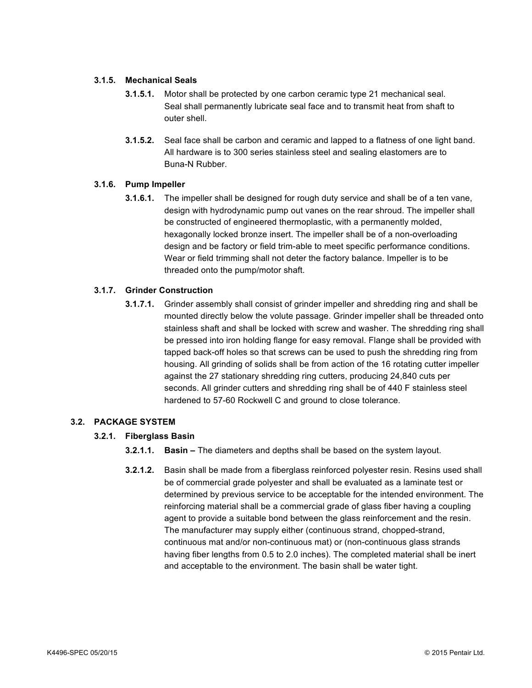# **3.1.5. Mechanical Seals**

- **3.1.5.1.** Motor shall be protected by one carbon ceramic type 21 mechanical seal. Seal shall permanently lubricate seal face and to transmit heat from shaft to outer shell.
- **3.1.5.2.** Seal face shall be carbon and ceramic and lapped to a flatness of one light band. All hardware is to 300 series stainless steel and sealing elastomers are to Buna-N Rubber.

# **3.1.6. Pump Impeller**

**3.1.6.1.** The impeller shall be designed for rough duty service and shall be of a ten vane, design with hydrodynamic pump out vanes on the rear shroud. The impeller shall be constructed of engineered thermoplastic, with a permanently molded, hexagonally locked bronze insert. The impeller shall be of a non-overloading design and be factory or field trim-able to meet specific performance conditions. Wear or field trimming shall not deter the factory balance. Impeller is to be threaded onto the pump/motor shaft.

# **3.1.7. Grinder Construction**

**3.1.7.1.** Grinder assembly shall consist of grinder impeller and shredding ring and shall be mounted directly below the volute passage. Grinder impeller shall be threaded onto stainless shaft and shall be locked with screw and washer. The shredding ring shall be pressed into iron holding flange for easy removal. Flange shall be provided with tapped back-off holes so that screws can be used to push the shredding ring from housing. All grinding of solids shall be from action of the 16 rotating cutter impeller against the 27 stationary shredding ring cutters, producing 24,840 cuts per seconds. All grinder cutters and shredding ring shall be of 440 F stainless steel hardened to 57-60 Rockwell C and ground to close tolerance.

#### **3.2. PACKAGE SYSTEM**

#### **3.2.1. Fiberglass Basin**

- **3.2.1.1. Basin –** The diameters and depths shall be based on the system layout.
- **3.2.1.2.** Basin shall be made from a fiberglass reinforced polyester resin. Resins used shall be of commercial grade polyester and shall be evaluated as a laminate test or determined by previous service to be acceptable for the intended environment. The reinforcing material shall be a commercial grade of glass fiber having a coupling agent to provide a suitable bond between the glass reinforcement and the resin. The manufacturer may supply either (continuous strand, chopped-strand, continuous mat and/or non-continuous mat) or (non-continuous glass strands having fiber lengths from 0.5 to 2.0 inches). The completed material shall be inert and acceptable to the environment. The basin shall be water tight.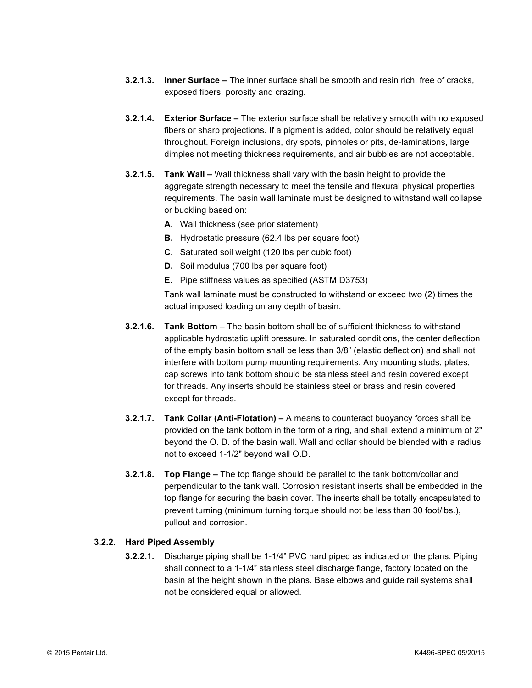- **3.2.1.3. Inner Surface –** The inner surface shall be smooth and resin rich, free of cracks, exposed fibers, porosity and crazing.
- **3.2.1.4. Exterior Surface –** The exterior surface shall be relatively smooth with no exposed fibers or sharp projections. If a pigment is added, color should be relatively equal throughout. Foreign inclusions, dry spots, pinholes or pits, de-laminations, large dimples not meeting thickness requirements, and air bubbles are not acceptable.
- **3.2.1.5. Tank Wall –** Wall thickness shall vary with the basin height to provide the aggregate strength necessary to meet the tensile and flexural physical properties requirements. The basin wall laminate must be designed to withstand wall collapse or buckling based on:
	- **A.** Wall thickness (see prior statement)
	- **B.** Hydrostatic pressure (62.4 lbs per square foot)
	- **C.** Saturated soil weight (120 lbs per cubic foot)
	- **D.** Soil modulus (700 lbs per square foot)
	- **E.** Pipe stiffness values as specified (ASTM D3753)

Tank wall laminate must be constructed to withstand or exceed two (2) times the actual imposed loading on any depth of basin.

- **3.2.1.6. Tank Bottom –** The basin bottom shall be of sufficient thickness to withstand applicable hydrostatic uplift pressure. In saturated conditions, the center deflection of the empty basin bottom shall be less than 3/8" (elastic deflection) and shall not interfere with bottom pump mounting requirements. Any mounting studs, plates, cap screws into tank bottom should be stainless steel and resin covered except for threads. Any inserts should be stainless steel or brass and resin covered except for threads.
- **3.2.1.7. Tank Collar (Anti-Flotation) –** A means to counteract buoyancy forces shall be provided on the tank bottom in the form of a ring, and shall extend a minimum of 2" beyond the O. D. of the basin wall. Wall and collar should be blended with a radius not to exceed 1-1/2" beyond wall O.D.
- **3.2.1.8. Top Flange –** The top flange should be parallel to the tank bottom/collar and perpendicular to the tank wall. Corrosion resistant inserts shall be embedded in the top flange for securing the basin cover. The inserts shall be totally encapsulated to prevent turning (minimum turning torque should not be less than 30 foot/lbs.), pullout and corrosion.

#### **3.2.2. Hard Piped Assembly**

**3.2.2.1.** Discharge piping shall be 1-1/4" PVC hard piped as indicated on the plans. Piping shall connect to a 1-1/4" stainless steel discharge flange, factory located on the basin at the height shown in the plans. Base elbows and guide rail systems shall not be considered equal or allowed.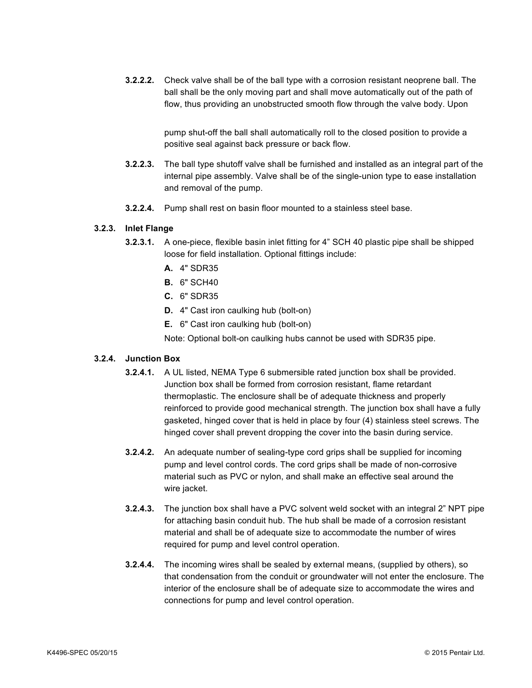**3.2.2.2.** Check valve shall be of the ball type with a corrosion resistant neoprene ball. The ball shall be the only moving part and shall move automatically out of the path of flow, thus providing an unobstructed smooth flow through the valve body. Upon

> pump shut-off the ball shall automatically roll to the closed position to provide a positive seal against back pressure or back flow.

- **3.2.2.3.** The ball type shutoff valve shall be furnished and installed as an integral part of the internal pipe assembly. Valve shall be of the single-union type to ease installation and removal of the pump.
- **3.2.2.4.** Pump shall rest on basin floor mounted to a stainless steel base.

#### **3.2.3. Inlet Flange**

- **3.2.3.1.** A one-piece, flexible basin inlet fitting for 4" SCH 40 plastic pipe shall be shipped loose for field installation. Optional fittings include:
	- **A.** 4" SDR35
	- **B.** 6" SCH40
	- **C.** 6" SDR35
	- **D.** 4" Cast iron caulking hub (bolt-on)
	- **E.** 6" Cast iron caulking hub (bolt-on)

Note: Optional bolt-on caulking hubs cannot be used with SDR35 pipe.

# **3.2.4. Junction Box**

- **3.2.4.1.** A UL listed, NEMA Type 6 submersible rated junction box shall be provided. Junction box shall be formed from corrosion resistant, flame retardant thermoplastic. The enclosure shall be of adequate thickness and properly reinforced to provide good mechanical strength. The junction box shall have a fully gasketed, hinged cover that is held in place by four (4) stainless steel screws. The hinged cover shall prevent dropping the cover into the basin during service.
- **3.2.4.2.** An adequate number of sealing-type cord grips shall be supplied for incoming pump and level control cords. The cord grips shall be made of non-corrosive material such as PVC or nylon, and shall make an effective seal around the wire jacket.
- **3.2.4.3.** The junction box shall have a PVC solvent weld socket with an integral 2" NPT pipe for attaching basin conduit hub. The hub shall be made of a corrosion resistant material and shall be of adequate size to accommodate the number of wires required for pump and level control operation.
- **3.2.4.4.** The incoming wires shall be sealed by external means, (supplied by others), so that condensation from the conduit or groundwater will not enter the enclosure. The interior of the enclosure shall be of adequate size to accommodate the wires and connections for pump and level control operation.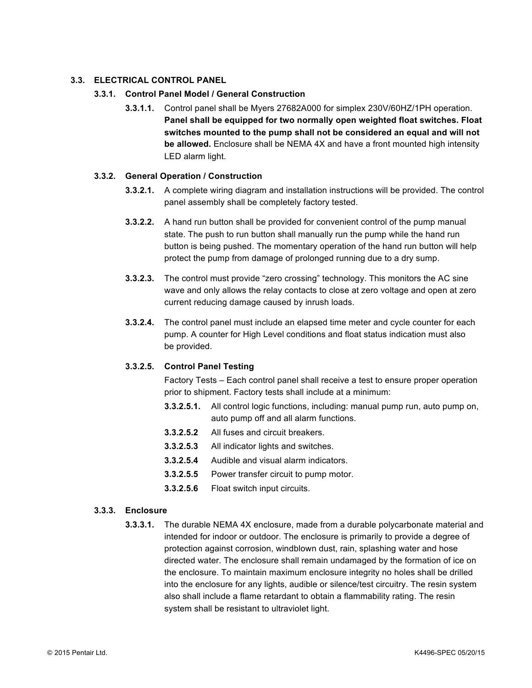# **3.3. ELECTRICAL CONTROL PANEL**

# **3.3.1. Control Panel Model / General Construction**

**3.3.1.1.** Control panel shall be Myers 27682A000 for simplex 230V/60HZ/1PH operation. **Panel shall be equipped for two normally open weighted float switches. Float switches mounted to the pump shall not be considered an equal and will not be allowed.** Enclosure shall be NEMA 4X and have a front mounted high intensity LED alarm light.

#### **3.3.2. General Operation / Construction**

- **3.3.2.1.** A complete wiring diagram and installation instructions will be provided. The control panel assembly shall be completely factory tested.
- **3.3.2.2.** A hand run button shall be provided for convenient control of the pump manual state. The push to run button shall manually run the pump while the hand run button is being pushed. The momentary operation of the hand run button will help protect the pump from damage of prolonged running due to a dry sump.
- **3.3.2.3.** The control must provide "zero crossing" technology. This monitors the AC sine wave and only allows the relay contacts to close at zero voltage and open at zero current reducing damage caused by inrush loads.
- **3.3.2.4.** The control panel must include an elapsed time meter and cycle counter for each pump. A counter for High Level conditions and float status indication must also be provided.

# **3.3.2.5. Control Panel Testing**

Factory Tests – Each control panel shall receive a test to ensure proper operation prior to shipment. Factory tests shall include at a minimum:

- **3.3.2.5.1.** All control logic functions, including: manual pump run, auto pump on, auto pump off and all alarm functions.
- **3.3.2.5.2** All fuses and circuit breakers.
- **3.3.2.5.3** All indicator lights and switches.
- **3.3.2.5.4** Audible and visual alarm indicators.
- **3.3.2.5.5** Power transfer circuit to pump motor.
- **3.3.2.5.6** Float switch input circuits.

# **3.3.3. Enclosure**

**3.3.3.1.** The durable NEMA 4X enclosure, made from a durable polycarbonate material and intended for indoor or outdoor. The enclosure is primarily to provide a degree of protection against corrosion, windblown dust, rain, splashing water and hose directed water. The enclosure shall remain undamaged by the formation of ice on the enclosure. To maintain maximum enclosure integrity no holes shall be drilled into the enclosure for any lights, audible or silence/test circuitry. The resin system also shall include a flame retardant to obtain a flammability rating. The resin system shall be resistant to ultraviolet light.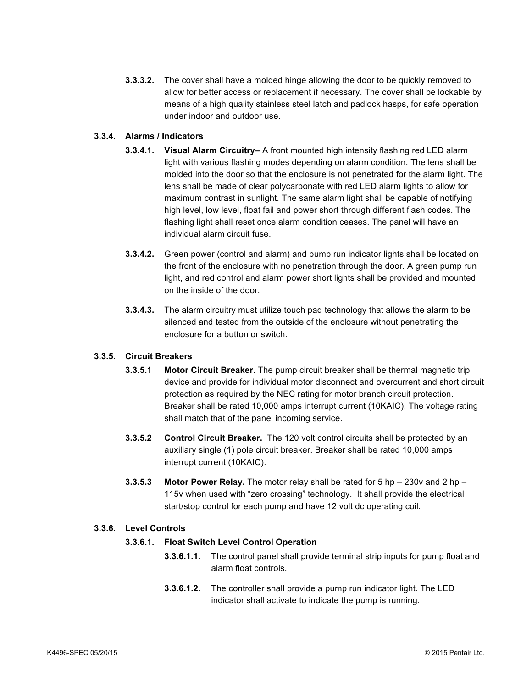**3.3.3.2.** The cover shall have a molded hinge allowing the door to be quickly removed to allow for better access or replacement if necessary. The cover shall be lockable by means of a high quality stainless steel latch and padlock hasps, for safe operation under indoor and outdoor use.

# **3.3.4. Alarms / Indicators**

- **3.3.4.1. Visual Alarm Circuitry–** A front mounted high intensity flashing red LED alarm light with various flashing modes depending on alarm condition. The lens shall be molded into the door so that the enclosure is not penetrated for the alarm light. The lens shall be made of clear polycarbonate with red LED alarm lights to allow for maximum contrast in sunlight. The same alarm light shall be capable of notifying high level, low level, float fail and power short through different flash codes. The flashing light shall reset once alarm condition ceases. The panel will have an individual alarm circuit fuse.
- **3.3.4.2.** Green power (control and alarm) and pump run indicator lights shall be located on the front of the enclosure with no penetration through the door. A green pump run light, and red control and alarm power short lights shall be provided and mounted on the inside of the door.
- **3.3.4.3.** The alarm circuitry must utilize touch pad technology that allows the alarm to be silenced and tested from the outside of the enclosure without penetrating the enclosure for a button or switch.

#### **3.3.5. Circuit Breakers**

- **3.3.5.1 Motor Circuit Breaker.** The pump circuit breaker shall be thermal magnetic trip device and provide for individual motor disconnect and overcurrent and short circuit protection as required by the NEC rating for motor branch circuit protection. Breaker shall be rated 10,000 amps interrupt current (10KAIC). The voltage rating shall match that of the panel incoming service.
- **3.3.5.2 Control Circuit Breaker.** The 120 volt control circuits shall be protected by an auxiliary single (1) pole circuit breaker. Breaker shall be rated 10,000 amps interrupt current (10KAIC).
- **3.3.5.3 Motor Power Relay.** The motor relay shall be rated for 5 hp 230v and 2 hp 115v when used with "zero crossing" technology. It shall provide the electrical start/stop control for each pump and have 12 volt dc operating coil.

#### **3.3.6. Level Controls**

#### **3.3.6.1. Float Switch Level Control Operation**

- **3.3.6.1.1.** The control panel shall provide terminal strip inputs for pump float and alarm float controls.
	- **3.3.6.1.2.** The controller shall provide a pump run indicator light. The LED indicator shall activate to indicate the pump is running.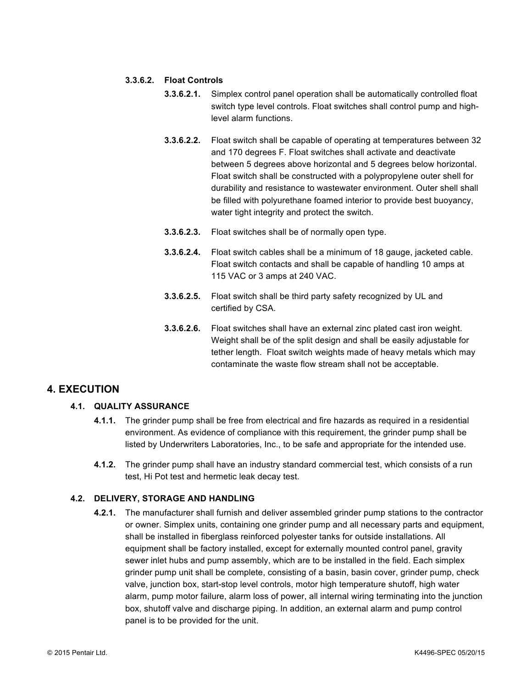# **3.3.6.2. Float Controls**

- **3.3.6.2.1.** Simplex control panel operation shall be automatically controlled float switch type level controls. Float switches shall control pump and highlevel alarm functions.
- **3.3.6.2.2.** Float switch shall be capable of operating at temperatures between 32 and 170 degrees F. Float switches shall activate and deactivate between 5 degrees above horizontal and 5 degrees below horizontal. Float switch shall be constructed with a polypropylene outer shell for durability and resistance to wastewater environment. Outer shell shall be filled with polyurethane foamed interior to provide best buoyancy, water tight integrity and protect the switch.
- **3.3.6.2.3.** Float switches shall be of normally open type.
- **3.3.6.2.4.** Float switch cables shall be a minimum of 18 gauge, jacketed cable. Float switch contacts and shall be capable of handling 10 amps at 115 VAC or 3 amps at 240 VAC.
- **3.3.6.2.5.** Float switch shall be third party safety recognized by UL and certified by CSA.
- **3.3.6.2.6.** Float switches shall have an external zinc plated cast iron weight. Weight shall be of the split design and shall be easily adjustable for tether length. Float switch weights made of heavy metals which may contaminate the waste flow stream shall not be acceptable.

# **4. EXECUTION**

# **4.1. QUALITY ASSURANCE**

- **4.1.1.** The grinder pump shall be free from electrical and fire hazards as required in a residential environment. As evidence of compliance with this requirement, the grinder pump shall be listed by Underwriters Laboratories, Inc., to be safe and appropriate for the intended use.
- **4.1.2.** The grinder pump shall have an industry standard commercial test, which consists of a run test, Hi Pot test and hermetic leak decay test.

# **4.2. DELIVERY, STORAGE AND HANDLING**

**4.2.1.** The manufacturer shall furnish and deliver assembled grinder pump stations to the contractor or owner. Simplex units, containing one grinder pump and all necessary parts and equipment, shall be installed in fiberglass reinforced polyester tanks for outside installations. All equipment shall be factory installed, except for externally mounted control panel, gravity sewer inlet hubs and pump assembly, which are to be installed in the field. Each simplex grinder pump unit shall be complete, consisting of a basin, basin cover, grinder pump, check valve, junction box, start-stop level controls, motor high temperature shutoff, high water alarm, pump motor failure, alarm loss of power, all internal wiring terminating into the junction box, shutoff valve and discharge piping. In addition, an external alarm and pump control panel is to be provided for the unit.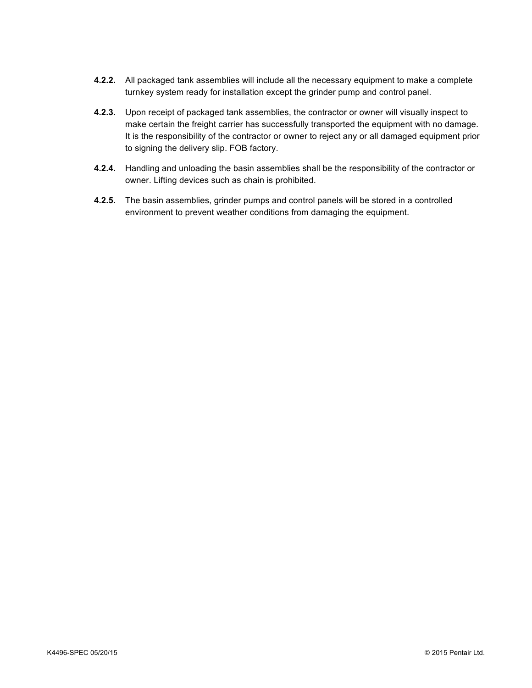- **4.2.2.** All packaged tank assemblies will include all the necessary equipment to make a complete turnkey system ready for installation except the grinder pump and control panel.
- **4.2.3.** Upon receipt of packaged tank assemblies, the contractor or owner will visually inspect to make certain the freight carrier has successfully transported the equipment with no damage. It is the responsibility of the contractor or owner to reject any or all damaged equipment prior to signing the delivery slip. FOB factory.
- **4.2.4.** Handling and unloading the basin assemblies shall be the responsibility of the contractor or owner. Lifting devices such as chain is prohibited.
- **4.2.5.** The basin assemblies, grinder pumps and control panels will be stored in a controlled environment to prevent weather conditions from damaging the equipment.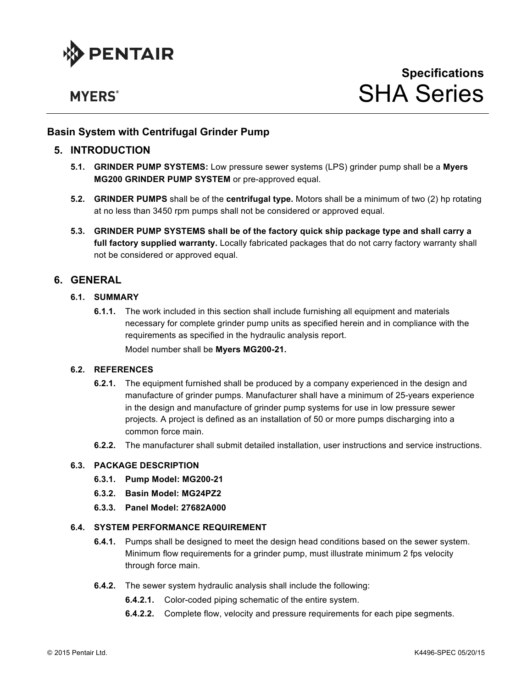

# **MYERS**<sup>®</sup>

# **Basin System with Centrifugal Grinder Pump**

# **5. INTRODUCTION**

- **5.1. GRINDER PUMP SYSTEMS:** Low pressure sewer systems (LPS) grinder pump shall be a **Myers MG200 GRINDER PUMP SYSTEM** or pre-approved equal.
- **5.2. GRINDER PUMPS** shall be of the **centrifugal type.** Motors shall be a minimum of two (2) hp rotating at no less than 3450 rpm pumps shall not be considered or approved equal.
- **5.3. GRINDER PUMP SYSTEMS shall be of the factory quick ship package type and shall carry a full factory supplied warranty.** Locally fabricated packages that do not carry factory warranty shall not be considered or approved equal.

# **6. GENERAL**

# **6.1. SUMMARY**

**6.1.1.** The work included in this section shall include furnishing all equipment and materials necessary for complete grinder pump units as specified herein and in compliance with the requirements as specified in the hydraulic analysis report. Model number shall be **Myers MG200-21.**

# **6.2. REFERENCES**

- **6.2.1.** The equipment furnished shall be produced by a company experienced in the design and manufacture of grinder pumps. Manufacturer shall have a minimum of 25-years experience in the design and manufacture of grinder pump systems for use in low pressure sewer projects. A project is defined as an installation of 50 or more pumps discharging into a common force main.
- **6.2.2.** The manufacturer shall submit detailed installation, user instructions and service instructions.

#### **6.3. PACKAGE DESCRIPTION**

- **6.3.1. Pump Model: MG200-21**
- **6.3.2. Basin Model: MG24PZ2**
- **6.3.3. Panel Model: 27682A000**

#### **6.4. SYSTEM PERFORMANCE REQUIREMENT**

- **6.4.1.** Pumps shall be designed to meet the design head conditions based on the sewer system. Minimum flow requirements for a grinder pump, must illustrate minimum 2 fps velocity through force main.
- **6.4.2.** The sewer system hydraulic analysis shall include the following:
	- **6.4.2.1.** Color-coded piping schematic of the entire system.
	- **6.4.2.2.** Complete flow, velocity and pressure requirements for each pipe segments.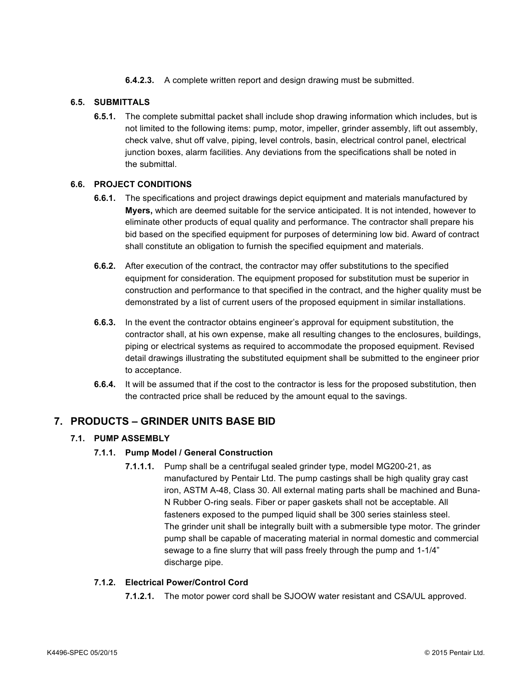**6.4.2.3.** A complete written report and design drawing must be submitted.

# **6.5. SUBMITTALS**

**6.5.1.** The complete submittal packet shall include shop drawing information which includes, but is not limited to the following items: pump, motor, impeller, grinder assembly, lift out assembly, check valve, shut off valve, piping, level controls, basin, electrical control panel, electrical junction boxes, alarm facilities. Any deviations from the specifications shall be noted in the submittal.

# **6.6. PROJECT CONDITIONS**

- **6.6.1.** The specifications and project drawings depict equipment and materials manufactured by **Myers,** which are deemed suitable for the service anticipated. It is not intended, however to eliminate other products of equal quality and performance. The contractor shall prepare his bid based on the specified equipment for purposes of determining low bid. Award of contract shall constitute an obligation to furnish the specified equipment and materials.
- **6.6.2.** After execution of the contract, the contractor may offer substitutions to the specified equipment for consideration. The equipment proposed for substitution must be superior in construction and performance to that specified in the contract, and the higher quality must be demonstrated by a list of current users of the proposed equipment in similar installations.
- **6.6.3.** In the event the contractor obtains engineer's approval for equipment substitution, the contractor shall, at his own expense, make all resulting changes to the enclosures, buildings, piping or electrical systems as required to accommodate the proposed equipment. Revised detail drawings illustrating the substituted equipment shall be submitted to the engineer prior to acceptance.
- **6.6.4.** It will be assumed that if the cost to the contractor is less for the proposed substitution, then the contracted price shall be reduced by the amount equal to the savings.

# **7. PRODUCTS – GRINDER UNITS BASE BID**

# **7.1. PUMP ASSEMBLY**

#### **7.1.1. Pump Model / General Construction**

**7.1.1.1.** Pump shall be a centrifugal sealed grinder type, model MG200-21, as manufactured by Pentair Ltd. The pump castings shall be high quality gray cast iron, ASTM A-48, Class 30. All external mating parts shall be machined and Buna-N Rubber O-ring seals. Fiber or paper gaskets shall not be acceptable. All fasteners exposed to the pumped liquid shall be 300 series stainless steel. The grinder unit shall be integrally built with a submersible type motor. The grinder pump shall be capable of macerating material in normal domestic and commercial sewage to a fine slurry that will pass freely through the pump and 1-1/4" discharge pipe.

#### **7.1.2. Electrical Power/Control Cord**

**7.1.2.1.** The motor power cord shall be SJOOW water resistant and CSA/UL approved.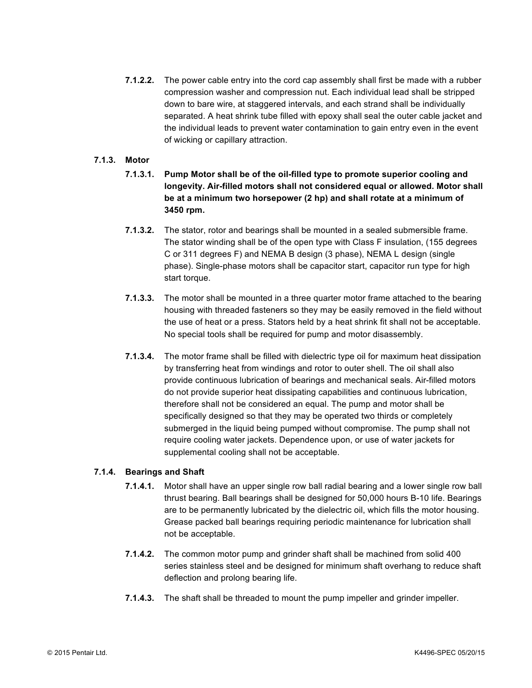**7.1.2.2.** The power cable entry into the cord cap assembly shall first be made with a rubber compression washer and compression nut. Each individual lead shall be stripped down to bare wire, at staggered intervals, and each strand shall be individually separated. A heat shrink tube filled with epoxy shall seal the outer cable jacket and the individual leads to prevent water contamination to gain entry even in the event of wicking or capillary attraction.

# **7.1.3. Motor**

- **7.1.3.1. Pump Motor shall be of the oil-filled type to promote superior cooling and longevity. Air-filled motors shall not considered equal or allowed. Motor shall be at a minimum two horsepower (2 hp) and shall rotate at a minimum of 3450 rpm.**
- **7.1.3.2.** The stator, rotor and bearings shall be mounted in a sealed submersible frame. The stator winding shall be of the open type with Class F insulation, (155 degrees C or 311 degrees F) and NEMA B design (3 phase), NEMA L design (single phase). Single-phase motors shall be capacitor start, capacitor run type for high start torque.
- **7.1.3.3.** The motor shall be mounted in a three quarter motor frame attached to the bearing housing with threaded fasteners so they may be easily removed in the field without the use of heat or a press. Stators held by a heat shrink fit shall not be acceptable. No special tools shall be required for pump and motor disassembly.
- **7.1.3.4.** The motor frame shall be filled with dielectric type oil for maximum heat dissipation by transferring heat from windings and rotor to outer shell. The oil shall also provide continuous lubrication of bearings and mechanical seals. Air-filled motors do not provide superior heat dissipating capabilities and continuous lubrication, therefore shall not be considered an equal. The pump and motor shall be specifically designed so that they may be operated two thirds or completely submerged in the liquid being pumped without compromise. The pump shall not require cooling water jackets. Dependence upon, or use of water jackets for supplemental cooling shall not be acceptable.

#### **7.1.4. Bearings and Shaft**

- **7.1.4.1.** Motor shall have an upper single row ball radial bearing and a lower single row ball thrust bearing. Ball bearings shall be designed for 50,000 hours B-10 life. Bearings are to be permanently lubricated by the dielectric oil, which fills the motor housing. Grease packed ball bearings requiring periodic maintenance for lubrication shall not be acceptable.
- **7.1.4.2.** The common motor pump and grinder shaft shall be machined from solid 400 series stainless steel and be designed for minimum shaft overhang to reduce shaft deflection and prolong bearing life.
- **7.1.4.3.** The shaft shall be threaded to mount the pump impeller and grinder impeller.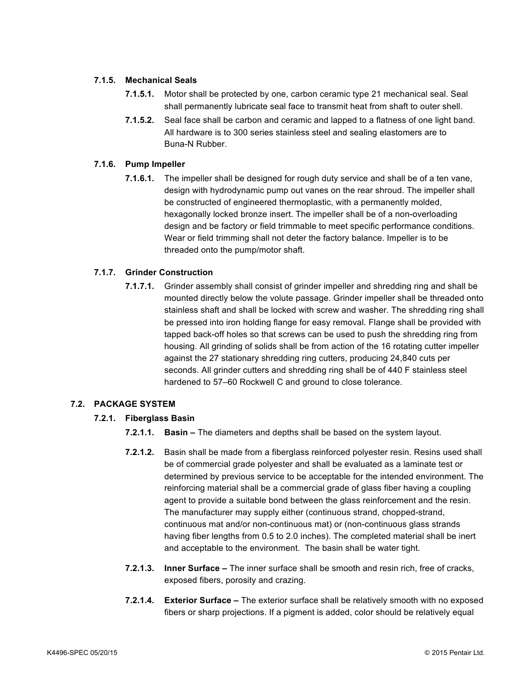# **7.1.5. Mechanical Seals**

- **7.1.5.1.** Motor shall be protected by one, carbon ceramic type 21 mechanical seal. Seal shall permanently lubricate seal face to transmit heat from shaft to outer shell.
- **7.1.5.2.** Seal face shall be carbon and ceramic and lapped to a flatness of one light band. All hardware is to 300 series stainless steel and sealing elastomers are to Buna-N Rubber.

# **7.1.6. Pump Impeller**

**7.1.6.1.** The impeller shall be designed for rough duty service and shall be of a ten vane, design with hydrodynamic pump out vanes on the rear shroud. The impeller shall be constructed of engineered thermoplastic, with a permanently molded, hexagonally locked bronze insert. The impeller shall be of a non-overloading design and be factory or field trimmable to meet specific performance conditions. Wear or field trimming shall not deter the factory balance. Impeller is to be threaded onto the pump/motor shaft.

# **7.1.7. Grinder Construction**

**7.1.7.1.** Grinder assembly shall consist of grinder impeller and shredding ring and shall be mounted directly below the volute passage. Grinder impeller shall be threaded onto stainless shaft and shall be locked with screw and washer. The shredding ring shall be pressed into iron holding flange for easy removal. Flange shall be provided with tapped back-off holes so that screws can be used to push the shredding ring from housing. All grinding of solids shall be from action of the 16 rotating cutter impeller against the 27 stationary shredding ring cutters, producing 24,840 cuts per seconds. All grinder cutters and shredding ring shall be of 440 F stainless steel hardened to 57–60 Rockwell C and ground to close tolerance.

# **7.2. PACKAGE SYSTEM**

# **7.2.1. Fiberglass Basin**

- **7.2.1.1. Basin –** The diameters and depths shall be based on the system layout.
- **7.2.1.2.** Basin shall be made from a fiberglass reinforced polyester resin. Resins used shall be of commercial grade polyester and shall be evaluated as a laminate test or determined by previous service to be acceptable for the intended environment. The reinforcing material shall be a commercial grade of glass fiber having a coupling agent to provide a suitable bond between the glass reinforcement and the resin. The manufacturer may supply either (continuous strand, chopped-strand, continuous mat and/or non-continuous mat) or (non-continuous glass strands having fiber lengths from 0.5 to 2.0 inches). The completed material shall be inert and acceptable to the environment. The basin shall be water tight.
- **7.2.1.3. Inner Surface –** The inner surface shall be smooth and resin rich, free of cracks, exposed fibers, porosity and crazing.
- **7.2.1.4. Exterior Surface –** The exterior surface shall be relatively smooth with no exposed fibers or sharp projections. If a pigment is added, color should be relatively equal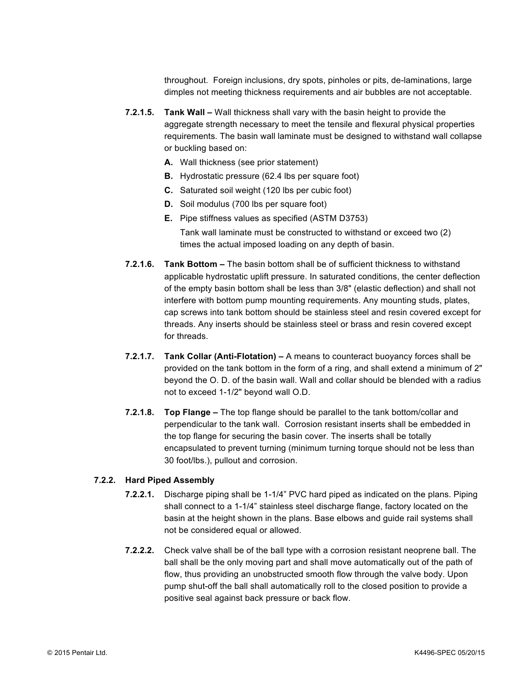throughout. Foreign inclusions, dry spots, pinholes or pits, de-laminations, large dimples not meeting thickness requirements and air bubbles are not acceptable.

- **7.2.1.5. Tank Wall –** Wall thickness shall vary with the basin height to provide the aggregate strength necessary to meet the tensile and flexural physical properties requirements. The basin wall laminate must be designed to withstand wall collapse or buckling based on:
	- **A.** Wall thickness (see prior statement)
	- **B.** Hydrostatic pressure (62.4 lbs per square foot)
	- **C.** Saturated soil weight (120 lbs per cubic foot)
	- **D.** Soil modulus (700 lbs per square foot)
	- **E.** Pipe stiffness values as specified (ASTM D3753)
	- Tank wall laminate must be constructed to withstand or exceed two (2) times the actual imposed loading on any depth of basin.
- **7.2.1.6. Tank Bottom –** The basin bottom shall be of sufficient thickness to withstand applicable hydrostatic uplift pressure. In saturated conditions, the center deflection of the empty basin bottom shall be less than 3/8" (elastic deflection) and shall not interfere with bottom pump mounting requirements. Any mounting studs, plates, cap screws into tank bottom should be stainless steel and resin covered except for threads. Any inserts should be stainless steel or brass and resin covered except for threads.
- **7.2.1.7. Tank Collar (Anti-Flotation) –** A means to counteract buoyancy forces shall be provided on the tank bottom in the form of a ring, and shall extend a minimum of 2" beyond the O. D. of the basin wall. Wall and collar should be blended with a radius not to exceed 1-1/2" beyond wall O.D.
- **7.2.1.8. Top Flange –** The top flange should be parallel to the tank bottom/collar and perpendicular to the tank wall. Corrosion resistant inserts shall be embedded in the top flange for securing the basin cover. The inserts shall be totally encapsulated to prevent turning (minimum turning torque should not be less than 30 foot/lbs.), pullout and corrosion.

#### **7.2.2. Hard Piped Assembly**

- **7.2.2.1.** Discharge piping shall be 1-1/4" PVC hard piped as indicated on the plans. Piping shall connect to a 1-1/4" stainless steel discharge flange, factory located on the basin at the height shown in the plans. Base elbows and guide rail systems shall not be considered equal or allowed.
- **7.2.2.2.** Check valve shall be of the ball type with a corrosion resistant neoprene ball. The ball shall be the only moving part and shall move automatically out of the path of flow, thus providing an unobstructed smooth flow through the valve body. Upon pump shut-off the ball shall automatically roll to the closed position to provide a positive seal against back pressure or back flow.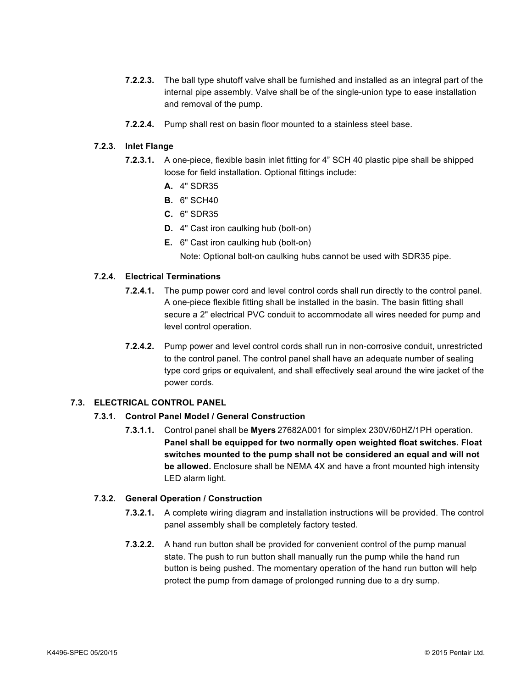- **7.2.2.3.** The ball type shutoff valve shall be furnished and installed as an integral part of the internal pipe assembly. Valve shall be of the single-union type to ease installation and removal of the pump.
- **7.2.2.4.** Pump shall rest on basin floor mounted to a stainless steel base.

# **7.2.3. Inlet Flange**

- **7.2.3.1.** A one-piece, flexible basin inlet fitting for 4" SCH 40 plastic pipe shall be shipped loose for field installation. Optional fittings include:
	- **A.** 4" SDR35
	- **B.** 6" SCH40
	- **C.** 6" SDR35
	- **D.** 4" Cast iron caulking hub (bolt-on)
	- **E.** 6" Cast iron caulking hub (bolt-on)
		- Note: Optional bolt-on caulking hubs cannot be used with SDR35 pipe.

# **7.2.4. Electrical Terminations**

- **7.2.4.1.** The pump power cord and level control cords shall run directly to the control panel. A one-piece flexible fitting shall be installed in the basin. The basin fitting shall secure a 2" electrical PVC conduit to accommodate all wires needed for pump and level control operation.
- **7.2.4.2.** Pump power and level control cords shall run in non-corrosive conduit, unrestricted to the control panel. The control panel shall have an adequate number of sealing type cord grips or equivalent, and shall effectively seal around the wire jacket of the power cords.

# **7.3. ELECTRICAL CONTROL PANEL**

#### **7.3.1. Control Panel Model / General Construction**

**7.3.1.1.** Control panel shall be **Myers** 27682A001 for simplex 230V/60HZ/1PH operation. **Panel shall be equipped for two normally open weighted float switches. Float switches mounted to the pump shall not be considered an equal and will not be allowed.** Enclosure shall be NEMA 4X and have a front mounted high intensity LED alarm light.

#### **7.3.2. General Operation / Construction**

- **7.3.2.1.** A complete wiring diagram and installation instructions will be provided. The control panel assembly shall be completely factory tested.
- **7.3.2.2.** A hand run button shall be provided for convenient control of the pump manual state. The push to run button shall manually run the pump while the hand run button is being pushed. The momentary operation of the hand run button will help protect the pump from damage of prolonged running due to a dry sump.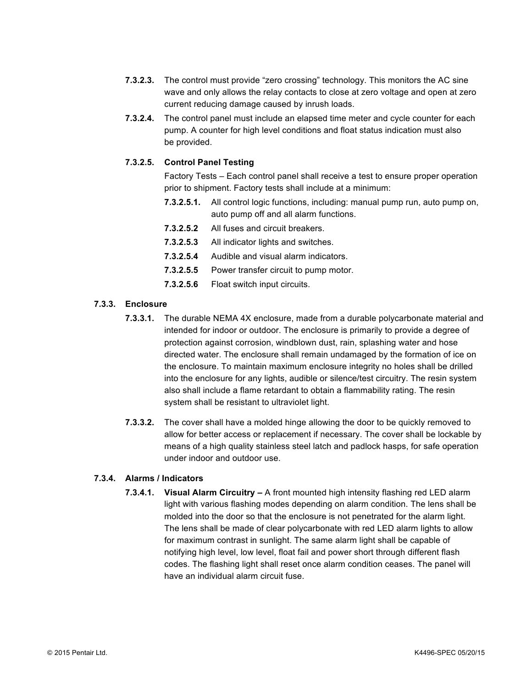- **7.3.2.3.** The control must provide "zero crossing" technology. This monitors the AC sine wave and only allows the relay contacts to close at zero voltage and open at zero current reducing damage caused by inrush loads.
- **7.3.2.4.** The control panel must include an elapsed time meter and cycle counter for each pump. A counter for high level conditions and float status indication must also be provided.

# **7.3.2.5. Control Panel Testing**

Factory Tests – Each control panel shall receive a test to ensure proper operation prior to shipment. Factory tests shall include at a minimum:

- **7.3.2.5.1.** All control logic functions, including: manual pump run, auto pump on, auto pump off and all alarm functions.
- **7.3.2.5.2** All fuses and circuit breakers.
- **7.3.2.5.3** All indicator lights and switches.
- **7.3.2.5.4** Audible and visual alarm indicators.
- **7.3.2.5.5** Power transfer circuit to pump motor.
- **7.3.2.5.6** Float switch input circuits.

# **7.3.3. Enclosure**

- **7.3.3.1.** The durable NEMA 4X enclosure, made from a durable polycarbonate material and intended for indoor or outdoor. The enclosure is primarily to provide a degree of protection against corrosion, windblown dust, rain, splashing water and hose directed water. The enclosure shall remain undamaged by the formation of ice on the enclosure. To maintain maximum enclosure integrity no holes shall be drilled into the enclosure for any lights, audible or silence/test circuitry. The resin system also shall include a flame retardant to obtain a flammability rating. The resin system shall be resistant to ultraviolet light.
- **7.3.3.2.** The cover shall have a molded hinge allowing the door to be quickly removed to allow for better access or replacement if necessary. The cover shall be lockable by means of a high quality stainless steel latch and padlock hasps, for safe operation under indoor and outdoor use.

# **7.3.4. Alarms / Indicators**

**7.3.4.1. Visual Alarm Circuitry –** A front mounted high intensity flashing red LED alarm light with various flashing modes depending on alarm condition. The lens shall be molded into the door so that the enclosure is not penetrated for the alarm light. The lens shall be made of clear polycarbonate with red LED alarm lights to allow for maximum contrast in sunlight. The same alarm light shall be capable of notifying high level, low level, float fail and power short through different flash codes. The flashing light shall reset once alarm condition ceases. The panel will have an individual alarm circuit fuse.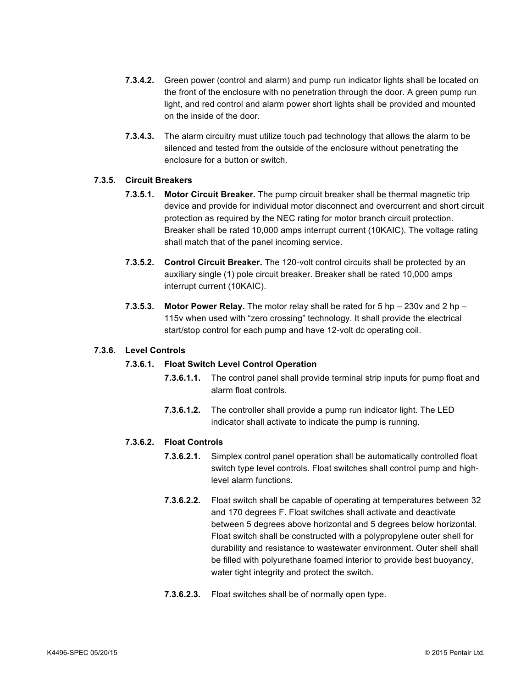- **7.3.4.2.** Green power (control and alarm) and pump run indicator lights shall be located on the front of the enclosure with no penetration through the door. A green pump run light, and red control and alarm power short lights shall be provided and mounted on the inside of the door.
- **7.3.4.3.** The alarm circuitry must utilize touch pad technology that allows the alarm to be silenced and tested from the outside of the enclosure without penetrating the enclosure for a button or switch.

# **7.3.5. Circuit Breakers**

- **7.3.5.1. Motor Circuit Breaker.** The pump circuit breaker shall be thermal magnetic trip device and provide for individual motor disconnect and overcurrent and short circuit protection as required by the NEC rating for motor branch circuit protection. Breaker shall be rated 10,000 amps interrupt current (10KAIC). The voltage rating shall match that of the panel incoming service.
- **7.3.5.2. Control Circuit Breaker.** The 120-volt control circuits shall be protected by an auxiliary single (1) pole circuit breaker. Breaker shall be rated 10,000 amps interrupt current (10KAIC).
- **7.3.5.3. Motor Power Relay.** The motor relay shall be rated for 5 hp 230v and 2 hp 115v when used with "zero crossing" technology. It shall provide the electrical start/stop control for each pump and have 12-volt dc operating coil.

#### **7.3.6. Level Controls**

#### **7.3.6.1. Float Switch Level Control Operation**

- **7.3.6.1.1.** The control panel shall provide terminal strip inputs for pump float and alarm float controls.
- **7.3.6.1.2.** The controller shall provide a pump run indicator light. The LED indicator shall activate to indicate the pump is running.

# **7.3.6.2. Float Controls**

- **7.3.6.2.1.** Simplex control panel operation shall be automatically controlled float switch type level controls. Float switches shall control pump and highlevel alarm functions.
- **7.3.6.2.2.** Float switch shall be capable of operating at temperatures between 32 and 170 degrees F. Float switches shall activate and deactivate between 5 degrees above horizontal and 5 degrees below horizontal. Float switch shall be constructed with a polypropylene outer shell for durability and resistance to wastewater environment. Outer shell shall be filled with polyurethane foamed interior to provide best buoyancy, water tight integrity and protect the switch.
- **7.3.6.2.3.** Float switches shall be of normally open type.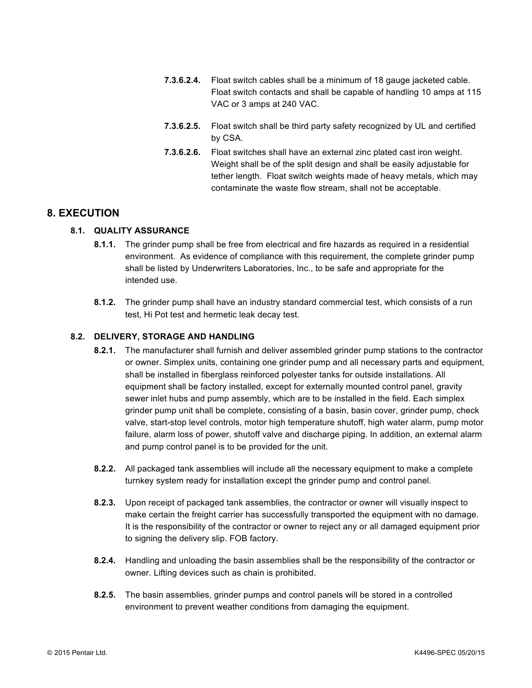- **7.3.6.2.4.** Float switch cables shall be a minimum of 18 gauge jacketed cable. Float switch contacts and shall be capable of handling 10 amps at 115 VAC or 3 amps at 240 VAC.
- **7.3.6.2.5.** Float switch shall be third party safety recognized by UL and certified by CSA.
- **7.3.6.2.6.** Float switches shall have an external zinc plated cast iron weight. Weight shall be of the split design and shall be easily adjustable for tether length. Float switch weights made of heavy metals, which may contaminate the waste flow stream, shall not be acceptable.

# **8. EXECUTION**

# **8.1. QUALITY ASSURANCE**

- **8.1.1.** The grinder pump shall be free from electrical and fire hazards as required in a residential environment. As evidence of compliance with this requirement, the complete grinder pump shall be listed by Underwriters Laboratories, Inc., to be safe and appropriate for the intended use.
- **8.1.2.** The grinder pump shall have an industry standard commercial test, which consists of a run test, Hi Pot test and hermetic leak decay test.

# **8.2. DELIVERY, STORAGE AND HANDLING**

- **8.2.1.** The manufacturer shall furnish and deliver assembled grinder pump stations to the contractor or owner. Simplex units, containing one grinder pump and all necessary parts and equipment, shall be installed in fiberglass reinforced polyester tanks for outside installations. All equipment shall be factory installed, except for externally mounted control panel, gravity sewer inlet hubs and pump assembly, which are to be installed in the field. Each simplex grinder pump unit shall be complete, consisting of a basin, basin cover, grinder pump, check valve, start-stop level controls, motor high temperature shutoff, high water alarm, pump motor failure, alarm loss of power, shutoff valve and discharge piping. In addition, an external alarm and pump control panel is to be provided for the unit.
- **8.2.2.** All packaged tank assemblies will include all the necessary equipment to make a complete turnkey system ready for installation except the grinder pump and control panel.
- **8.2.3.** Upon receipt of packaged tank assemblies, the contractor or owner will visually inspect to make certain the freight carrier has successfully transported the equipment with no damage. It is the responsibility of the contractor or owner to reject any or all damaged equipment prior to signing the delivery slip. FOB factory.
- **8.2.4.** Handling and unloading the basin assemblies shall be the responsibility of the contractor or owner. Lifting devices such as chain is prohibited.
- **8.2.5.** The basin assemblies, grinder pumps and control panels will be stored in a controlled environment to prevent weather conditions from damaging the equipment.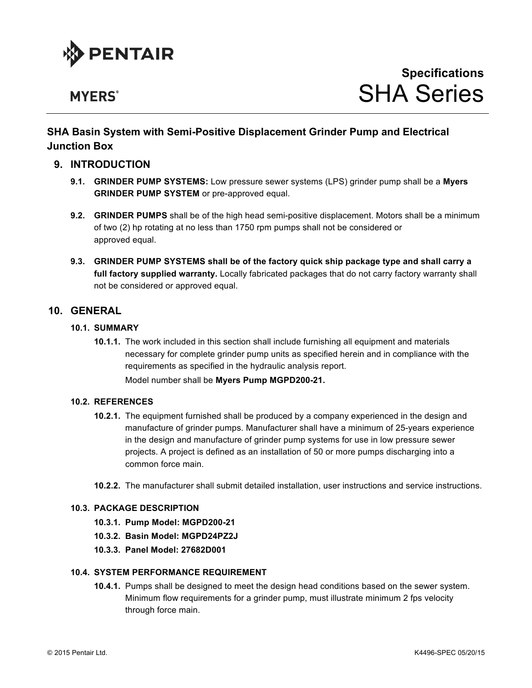

# **MYERS**<sup>®</sup>

# **SHA Basin System with Semi-Positive Displacement Grinder Pump and Electrical Junction Box**

# **9. INTRODUCTION**

- **9.1. GRINDER PUMP SYSTEMS:** Low pressure sewer systems (LPS) grinder pump shall be a **Myers GRINDER PUMP SYSTEM** or pre-approved equal.
- **9.2. GRINDER PUMPS** shall be of the high head semi-positive displacement. Motors shall be a minimum of two (2) hp rotating at no less than 1750 rpm pumps shall not be considered or approved equal.
- **9.3. GRINDER PUMP SYSTEMS shall be of the factory quick ship package type and shall carry a full factory supplied warranty.** Locally fabricated packages that do not carry factory warranty shall not be considered or approved equal.

# **10. GENERAL**

# **10.1. SUMMARY**

**10.1.1.** The work included in this section shall include furnishing all equipment and materials necessary for complete grinder pump units as specified herein and in compliance with the requirements as specified in the hydraulic analysis report.

Model number shall be **Myers Pump MGPD200-21.**

#### **10.2. REFERENCES**

- **10.2.1.** The equipment furnished shall be produced by a company experienced in the design and manufacture of grinder pumps. Manufacturer shall have a minimum of 25-years experience in the design and manufacture of grinder pump systems for use in low pressure sewer projects. A project is defined as an installation of 50 or more pumps discharging into a common force main.
- **10.2.2.** The manufacturer shall submit detailed installation, user instructions and service instructions.

# **10.3. PACKAGE DESCRIPTION**

- **10.3.1. Pump Model: MGPD200-21**
- **10.3.2. Basin Model: MGPD24PZ2J**
- **10.3.3. Panel Model: 27682D001**

#### **10.4. SYSTEM PERFORMANCE REQUIREMENT**

**10.4.1.** Pumps shall be designed to meet the design head conditions based on the sewer system. Minimum flow requirements for a grinder pump, must illustrate minimum 2 fps velocity through force main.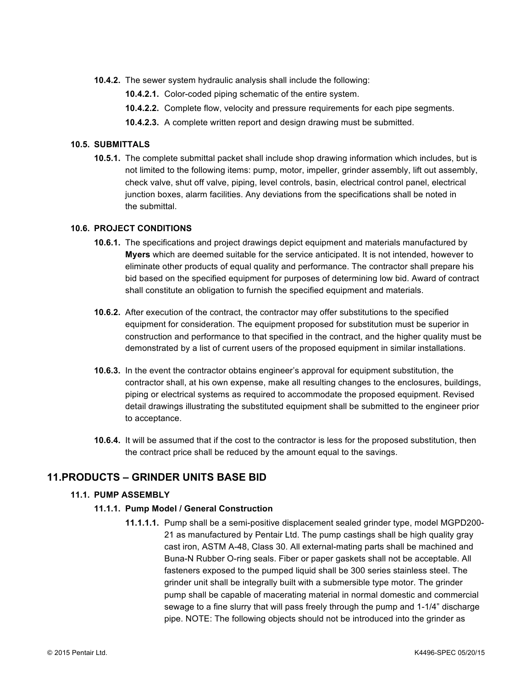- **10.4.2.** The sewer system hydraulic analysis shall include the following:
	- **10.4.2.1.** Color-coded piping schematic of the entire system.
	- **10.4.2.2.** Complete flow, velocity and pressure requirements for each pipe segments.
	- **10.4.2.3.** A complete written report and design drawing must be submitted.

#### **10.5. SUBMITTALS**

**10.5.1.** The complete submittal packet shall include shop drawing information which includes, but is not limited to the following items: pump, motor, impeller, grinder assembly, lift out assembly, check valve, shut off valve, piping, level controls, basin, electrical control panel, electrical junction boxes, alarm facilities. Any deviations from the specifications shall be noted in the submittal.

#### **10.6. PROJECT CONDITIONS**

- **10.6.1.** The specifications and project drawings depict equipment and materials manufactured by **Myers** which are deemed suitable for the service anticipated. It is not intended, however to eliminate other products of equal quality and performance. The contractor shall prepare his bid based on the specified equipment for purposes of determining low bid. Award of contract shall constitute an obligation to furnish the specified equipment and materials.
- **10.6.2.** After execution of the contract, the contractor may offer substitutions to the specified equipment for consideration. The equipment proposed for substitution must be superior in construction and performance to that specified in the contract, and the higher quality must be demonstrated by a list of current users of the proposed equipment in similar installations.
- **10.6.3.** In the event the contractor obtains engineer's approval for equipment substitution, the contractor shall, at his own expense, make all resulting changes to the enclosures, buildings, piping or electrical systems as required to accommodate the proposed equipment. Revised detail drawings illustrating the substituted equipment shall be submitted to the engineer prior to acceptance.
- **10.6.4.** It will be assumed that if the cost to the contractor is less for the proposed substitution, then the contract price shall be reduced by the amount equal to the savings.

# **11.PRODUCTS – GRINDER UNITS BASE BID**

# **11.1. PUMP ASSEMBLY**

#### **11.1.1. Pump Model / General Construction**

**11.1.1.1.** Pump shall be a semi-positive displacement sealed grinder type, model MGPD200- 21 as manufactured by Pentair Ltd. The pump castings shall be high quality gray cast iron, ASTM A-48, Class 30. All external-mating parts shall be machined and Buna-N Rubber O-ring seals. Fiber or paper gaskets shall not be acceptable. All fasteners exposed to the pumped liquid shall be 300 series stainless steel. The grinder unit shall be integrally built with a submersible type motor. The grinder pump shall be capable of macerating material in normal domestic and commercial sewage to a fine slurry that will pass freely through the pump and 1-1/4" discharge pipe. NOTE: The following objects should not be introduced into the grinder as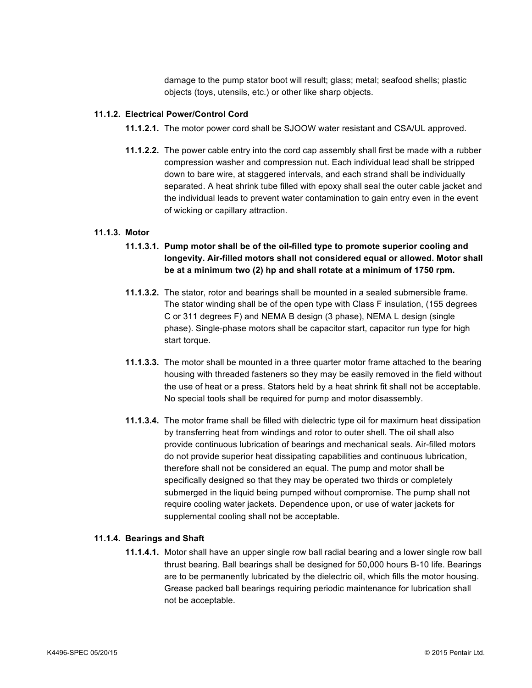damage to the pump stator boot will result; glass; metal; seafood shells; plastic objects (toys, utensils, etc.) or other like sharp objects.

# **11.1.2. Electrical Power/Control Cord**

- **11.1.2.1.** The motor power cord shall be SJOOW water resistant and CSA/UL approved.
- **11.1.2.2.** The power cable entry into the cord cap assembly shall first be made with a rubber compression washer and compression nut. Each individual lead shall be stripped down to bare wire, at staggered intervals, and each strand shall be individually separated. A heat shrink tube filled with epoxy shall seal the outer cable jacket and the individual leads to prevent water contamination to gain entry even in the event of wicking or capillary attraction.

#### **11.1.3. Motor**

- **11.1.3.1. Pump motor shall be of the oil-filled type to promote superior cooling and longevity. Air-filled motors shall not considered equal or allowed. Motor shall be at a minimum two (2) hp and shall rotate at a minimum of 1750 rpm.**
- **11.1.3.2.** The stator, rotor and bearings shall be mounted in a sealed submersible frame. The stator winding shall be of the open type with Class F insulation, (155 degrees C or 311 degrees F) and NEMA B design (3 phase), NEMA L design (single phase). Single-phase motors shall be capacitor start, capacitor run type for high start torque.
- **11.1.3.3.** The motor shall be mounted in a three quarter motor frame attached to the bearing housing with threaded fasteners so they may be easily removed in the field without the use of heat or a press. Stators held by a heat shrink fit shall not be acceptable. No special tools shall be required for pump and motor disassembly.
- **11.1.3.4.** The motor frame shall be filled with dielectric type oil for maximum heat dissipation by transferring heat from windings and rotor to outer shell. The oil shall also provide continuous lubrication of bearings and mechanical seals. Air-filled motors do not provide superior heat dissipating capabilities and continuous lubrication, therefore shall not be considered an equal. The pump and motor shall be specifically designed so that they may be operated two thirds or completely submerged in the liquid being pumped without compromise. The pump shall not require cooling water jackets. Dependence upon, or use of water jackets for supplemental cooling shall not be acceptable.

#### **11.1.4. Bearings and Shaft**

**11.1.4.1.** Motor shall have an upper single row ball radial bearing and a lower single row ball thrust bearing. Ball bearings shall be designed for 50,000 hours B-10 life. Bearings are to be permanently lubricated by the dielectric oil, which fills the motor housing. Grease packed ball bearings requiring periodic maintenance for lubrication shall not be acceptable.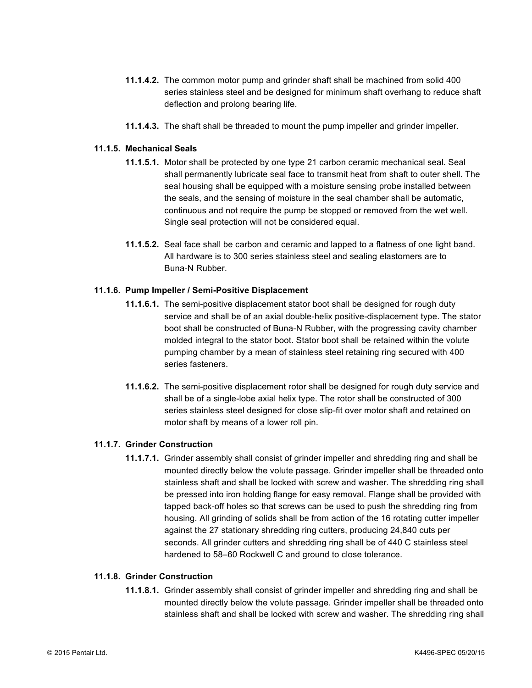- **11.1.4.2.** The common motor pump and grinder shaft shall be machined from solid 400 series stainless steel and be designed for minimum shaft overhang to reduce shaft deflection and prolong bearing life.
- **11.1.4.3.** The shaft shall be threaded to mount the pump impeller and grinder impeller.

# **11.1.5. Mechanical Seals**

- **11.1.5.1.** Motor shall be protected by one type 21 carbon ceramic mechanical seal. Seal shall permanently lubricate seal face to transmit heat from shaft to outer shell. The seal housing shall be equipped with a moisture sensing probe installed between the seals, and the sensing of moisture in the seal chamber shall be automatic, continuous and not require the pump be stopped or removed from the wet well. Single seal protection will not be considered equal.
- **11.1.5.2.** Seal face shall be carbon and ceramic and lapped to a flatness of one light band. All hardware is to 300 series stainless steel and sealing elastomers are to Buna-N Rubber.

# **11.1.6. Pump Impeller / Semi-Positive Displacement**

- **11.1.6.1.** The semi-positive displacement stator boot shall be designed for rough duty service and shall be of an axial double-helix positive-displacement type. The stator boot shall be constructed of Buna-N Rubber, with the progressing cavity chamber molded integral to the stator boot. Stator boot shall be retained within the volute pumping chamber by a mean of stainless steel retaining ring secured with 400 series fasteners.
- **11.1.6.2.** The semi-positive displacement rotor shall be designed for rough duty service and shall be of a single-lobe axial helix type. The rotor shall be constructed of 300 series stainless steel designed for close slip-fit over motor shaft and retained on motor shaft by means of a lower roll pin.

# **11.1.7. Grinder Construction**

**11.1.7.1.** Grinder assembly shall consist of grinder impeller and shredding ring and shall be mounted directly below the volute passage. Grinder impeller shall be threaded onto stainless shaft and shall be locked with screw and washer. The shredding ring shall be pressed into iron holding flange for easy removal. Flange shall be provided with tapped back-off holes so that screws can be used to push the shredding ring from housing. All grinding of solids shall be from action of the 16 rotating cutter impeller against the 27 stationary shredding ring cutters, producing 24,840 cuts per seconds. All grinder cutters and shredding ring shall be of 440 C stainless steel hardened to 58–60 Rockwell C and ground to close tolerance.

#### **11.1.8. Grinder Construction**

**11.1.8.1.** Grinder assembly shall consist of grinder impeller and shredding ring and shall be mounted directly below the volute passage. Grinder impeller shall be threaded onto stainless shaft and shall be locked with screw and washer. The shredding ring shall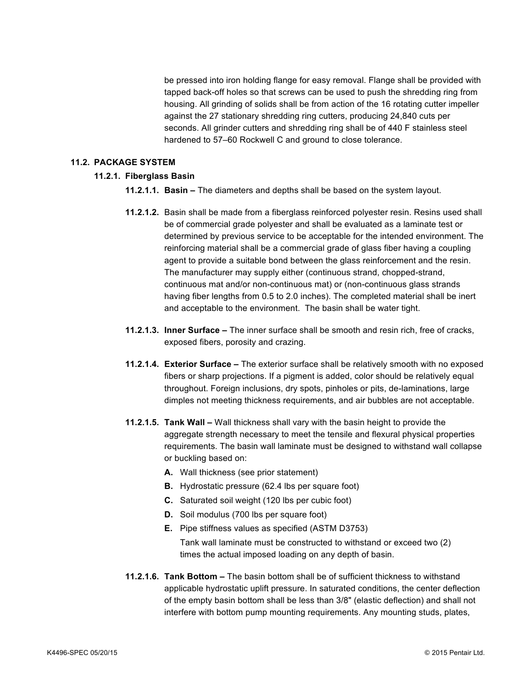be pressed into iron holding flange for easy removal. Flange shall be provided with tapped back-off holes so that screws can be used to push the shredding ring from housing. All grinding of solids shall be from action of the 16 rotating cutter impeller against the 27 stationary shredding ring cutters, producing 24,840 cuts per seconds. All grinder cutters and shredding ring shall be of 440 F stainless steel hardened to 57–60 Rockwell C and ground to close tolerance.

#### **11.2. PACKAGE SYSTEM**

# **11.2.1. Fiberglass Basin**

- **11.2.1.1. Basin –** The diameters and depths shall be based on the system layout.
- **11.2.1.2.** Basin shall be made from a fiberglass reinforced polyester resin. Resins used shall be of commercial grade polyester and shall be evaluated as a laminate test or determined by previous service to be acceptable for the intended environment. The reinforcing material shall be a commercial grade of glass fiber having a coupling agent to provide a suitable bond between the glass reinforcement and the resin. The manufacturer may supply either (continuous strand, chopped-strand, continuous mat and/or non-continuous mat) or (non-continuous glass strands having fiber lengths from 0.5 to 2.0 inches). The completed material shall be inert and acceptable to the environment. The basin shall be water tight.
- **11.2.1.3. Inner Surface –** The inner surface shall be smooth and resin rich, free of cracks, exposed fibers, porosity and crazing.
- **11.2.1.4. Exterior Surface –** The exterior surface shall be relatively smooth with no exposed fibers or sharp projections. If a pigment is added, color should be relatively equal throughout. Foreign inclusions, dry spots, pinholes or pits, de-laminations, large dimples not meeting thickness requirements, and air bubbles are not acceptable.
- **11.2.1.5. Tank Wall –** Wall thickness shall vary with the basin height to provide the aggregate strength necessary to meet the tensile and flexural physical properties requirements. The basin wall laminate must be designed to withstand wall collapse or buckling based on:
	- **A.** Wall thickness (see prior statement)
	- **B.** Hydrostatic pressure (62.4 lbs per square foot)
	- **C.** Saturated soil weight (120 lbs per cubic foot)
	- **D.** Soil modulus (700 lbs per square foot)
	- **E.** Pipe stiffness values as specified (ASTM D3753) Tank wall laminate must be constructed to withstand or exceed two (2) times the actual imposed loading on any depth of basin.
- **11.2.1.6. Tank Bottom –** The basin bottom shall be of sufficient thickness to withstand applicable hydrostatic uplift pressure. In saturated conditions, the center deflection of the empty basin bottom shall be less than 3/8" (elastic deflection) and shall not interfere with bottom pump mounting requirements. Any mounting studs, plates,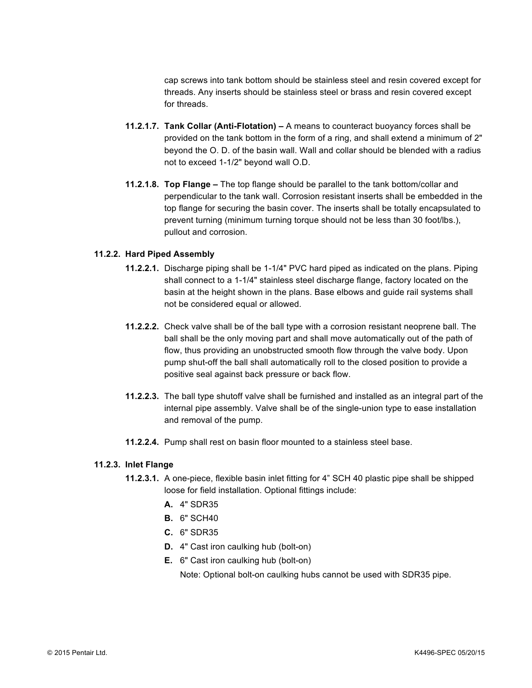cap screws into tank bottom should be stainless steel and resin covered except for threads. Any inserts should be stainless steel or brass and resin covered except for threads.

- **11.2.1.7. Tank Collar (Anti-Flotation) –** A means to counteract buoyancy forces shall be provided on the tank bottom in the form of a ring, and shall extend a minimum of 2" beyond the O. D. of the basin wall. Wall and collar should be blended with a radius not to exceed 1-1/2" beyond wall O.D.
- **11.2.1.8. Top Flange –** The top flange should be parallel to the tank bottom/collar and perpendicular to the tank wall. Corrosion resistant inserts shall be embedded in the top flange for securing the basin cover. The inserts shall be totally encapsulated to prevent turning (minimum turning torque should not be less than 30 foot/lbs.), pullout and corrosion.

#### **11.2.2. Hard Piped Assembly**

- **11.2.2.1.** Discharge piping shall be 1-1/4" PVC hard piped as indicated on the plans. Piping shall connect to a 1-1/4" stainless steel discharge flange, factory located on the basin at the height shown in the plans. Base elbows and guide rail systems shall not be considered equal or allowed.
- **11.2.2.2.** Check valve shall be of the ball type with a corrosion resistant neoprene ball. The ball shall be the only moving part and shall move automatically out of the path of flow, thus providing an unobstructed smooth flow through the valve body. Upon pump shut-off the ball shall automatically roll to the closed position to provide a positive seal against back pressure or back flow.
- **11.2.2.3.** The ball type shutoff valve shall be furnished and installed as an integral part of the internal pipe assembly. Valve shall be of the single-union type to ease installation and removal of the pump.
- **11.2.2.4.** Pump shall rest on basin floor mounted to a stainless steel base.

#### **11.2.3. Inlet Flange**

- **11.2.3.1.** A one-piece, flexible basin inlet fitting for 4" SCH 40 plastic pipe shall be shipped loose for field installation. Optional fittings include:
	- **A.** 4" SDR35
	- **B.** 6" SCH40
	- **C.** 6" SDR35
	- **D.** 4" Cast iron caulking hub (bolt-on)
	- **E.** 6" Cast iron caulking hub (bolt-on)

Note: Optional bolt-on caulking hubs cannot be used with SDR35 pipe.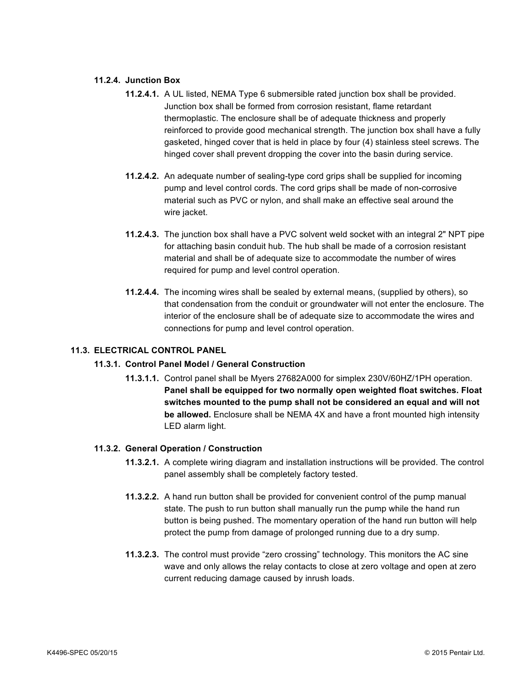## **11.2.4. Junction Box**

- **11.2.4.1.** A UL listed, NEMA Type 6 submersible rated junction box shall be provided. Junction box shall be formed from corrosion resistant, flame retardant thermoplastic. The enclosure shall be of adequate thickness and properly reinforced to provide good mechanical strength. The junction box shall have a fully gasketed, hinged cover that is held in place by four (4) stainless steel screws. The hinged cover shall prevent dropping the cover into the basin during service.
- **11.2.4.2.** An adequate number of sealing-type cord grips shall be supplied for incoming pump and level control cords. The cord grips shall be made of non-corrosive material such as PVC or nylon, and shall make an effective seal around the wire jacket.
- **11.2.4.3.** The junction box shall have a PVC solvent weld socket with an integral 2" NPT pipe for attaching basin conduit hub. The hub shall be made of a corrosion resistant material and shall be of adequate size to accommodate the number of wires required for pump and level control operation.
- **11.2.4.4.** The incoming wires shall be sealed by external means, (supplied by others), so that condensation from the conduit or groundwater will not enter the enclosure. The interior of the enclosure shall be of adequate size to accommodate the wires and connections for pump and level control operation.

# **11.3. ELECTRICAL CONTROL PANEL**

#### **11.3.1. Control Panel Model / General Construction**

**11.3.1.1.** Control panel shall be Myers 27682A000 for simplex 230V/60HZ/1PH operation. **Panel shall be equipped for two normally open weighted float switches. Float switches mounted to the pump shall not be considered an equal and will not be allowed.** Enclosure shall be NEMA 4X and have a front mounted high intensity LED alarm light.

#### **11.3.2. General Operation / Construction**

- **11.3.2.1.** A complete wiring diagram and installation instructions will be provided. The control panel assembly shall be completely factory tested.
- **11.3.2.2.** A hand run button shall be provided for convenient control of the pump manual state. The push to run button shall manually run the pump while the hand run button is being pushed. The momentary operation of the hand run button will help protect the pump from damage of prolonged running due to a dry sump.
- **11.3.2.3.** The control must provide "zero crossing" technology. This monitors the AC sine wave and only allows the relay contacts to close at zero voltage and open at zero current reducing damage caused by inrush loads.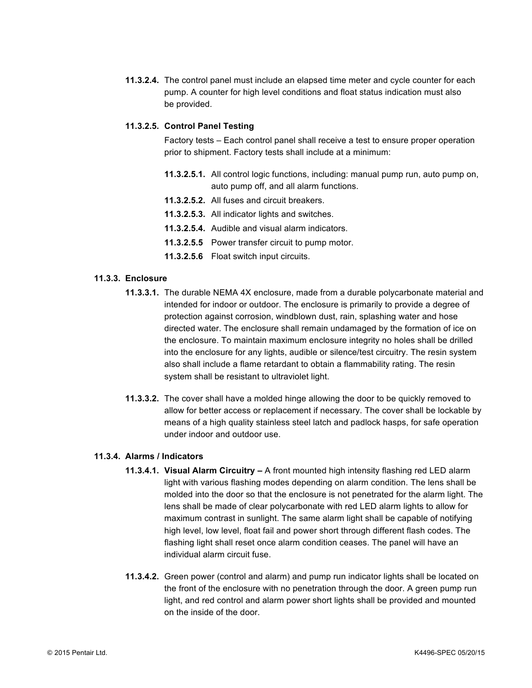**11.3.2.4.** The control panel must include an elapsed time meter and cycle counter for each pump. A counter for high level conditions and float status indication must also be provided.

# **11.3.2.5. Control Panel Testing**

Factory tests – Each control panel shall receive a test to ensure proper operation prior to shipment. Factory tests shall include at a minimum:

- **11.3.2.5.1.** All control logic functions, including: manual pump run, auto pump on, auto pump off, and all alarm functions.
- **11.3.2.5.2.** All fuses and circuit breakers.
- **11.3.2.5.3.** All indicator lights and switches.
- **11.3.2.5.4.** Audible and visual alarm indicators.
- **11.3.2.5.5** Power transfer circuit to pump motor.
- **11.3.2.5.6** Float switch input circuits.

# **11.3.3. Enclosure**

- **11.3.3.1.** The durable NEMA 4X enclosure, made from a durable polycarbonate material and intended for indoor or outdoor. The enclosure is primarily to provide a degree of protection against corrosion, windblown dust, rain, splashing water and hose directed water. The enclosure shall remain undamaged by the formation of ice on the enclosure. To maintain maximum enclosure integrity no holes shall be drilled into the enclosure for any lights, audible or silence/test circuitry. The resin system also shall include a flame retardant to obtain a flammability rating. The resin system shall be resistant to ultraviolet light.
- **11.3.3.2.** The cover shall have a molded hinge allowing the door to be quickly removed to allow for better access or replacement if necessary. The cover shall be lockable by means of a high quality stainless steel latch and padlock hasps, for safe operation under indoor and outdoor use.

#### **11.3.4. Alarms / Indicators**

- **11.3.4.1. Visual Alarm Circuitry –** A front mounted high intensity flashing red LED alarm light with various flashing modes depending on alarm condition. The lens shall be molded into the door so that the enclosure is not penetrated for the alarm light. The lens shall be made of clear polycarbonate with red LED alarm lights to allow for maximum contrast in sunlight. The same alarm light shall be capable of notifying high level, low level, float fail and power short through different flash codes. The flashing light shall reset once alarm condition ceases. The panel will have an individual alarm circuit fuse.
- **11.3.4.2.** Green power (control and alarm) and pump run indicator lights shall be located on the front of the enclosure with no penetration through the door. A green pump run light, and red control and alarm power short lights shall be provided and mounted on the inside of the door.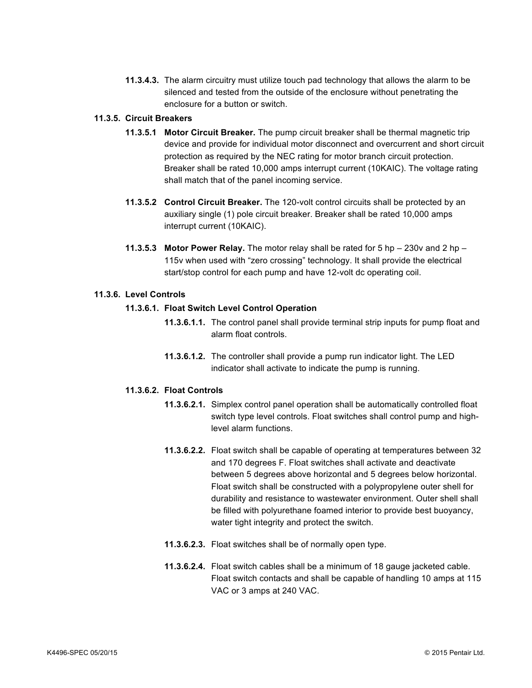**11.3.4.3.** The alarm circuitry must utilize touch pad technology that allows the alarm to be silenced and tested from the outside of the enclosure without penetrating the enclosure for a button or switch.

#### **11.3.5. Circuit Breakers**

- **11.3.5.1 Motor Circuit Breaker.** The pump circuit breaker shall be thermal magnetic trip device and provide for individual motor disconnect and overcurrent and short circuit protection as required by the NEC rating for motor branch circuit protection. Breaker shall be rated 10,000 amps interrupt current (10KAIC). The voltage rating shall match that of the panel incoming service.
- **11.3.5.2 Control Circuit Breaker.** The 120-volt control circuits shall be protected by an auxiliary single (1) pole circuit breaker. Breaker shall be rated 10,000 amps interrupt current (10KAIC).
- **11.3.5.3 Motor Power Relay.** The motor relay shall be rated for 5 hp 230v and 2 hp 115v when used with "zero crossing" technology. It shall provide the electrical start/stop control for each pump and have 12-volt dc operating coil.

# **11.3.6. Level Controls**

# **11.3.6.1. Float Switch Level Control Operation**

- **11.3.6.1.1.** The control panel shall provide terminal strip inputs for pump float and alarm float controls.
- **11.3.6.1.2.** The controller shall provide a pump run indicator light. The LED indicator shall activate to indicate the pump is running.

# **11.3.6.2. Float Controls**

- **11.3.6.2.1.** Simplex control panel operation shall be automatically controlled float switch type level controls. Float switches shall control pump and highlevel alarm functions.
- **11.3.6.2.2.** Float switch shall be capable of operating at temperatures between 32 and 170 degrees F. Float switches shall activate and deactivate between 5 degrees above horizontal and 5 degrees below horizontal. Float switch shall be constructed with a polypropylene outer shell for durability and resistance to wastewater environment. Outer shell shall be filled with polyurethane foamed interior to provide best buoyancy, water tight integrity and protect the switch.
- **11.3.6.2.3.** Float switches shall be of normally open type.
- **11.3.6.2.4.** Float switch cables shall be a minimum of 18 gauge jacketed cable. Float switch contacts and shall be capable of handling 10 amps at 115 VAC or 3 amps at 240 VAC.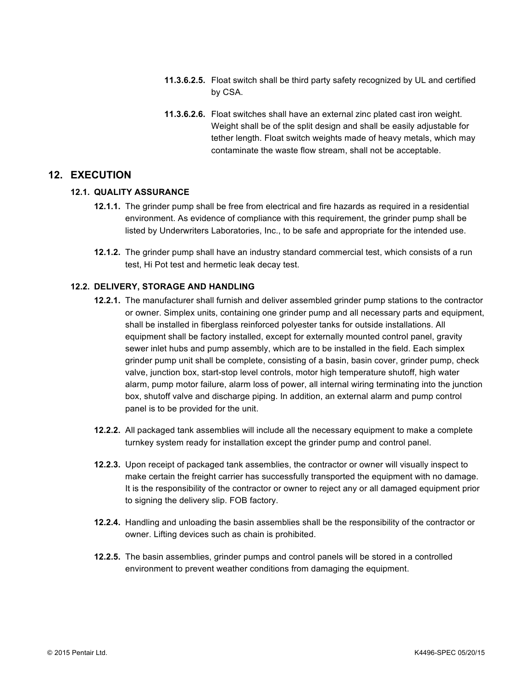- **11.3.6.2.5.** Float switch shall be third party safety recognized by UL and certified by CSA.
- **11.3.6.2.6.** Float switches shall have an external zinc plated cast iron weight. Weight shall be of the split design and shall be easily adjustable for tether length. Float switch weights made of heavy metals, which may contaminate the waste flow stream, shall not be acceptable.

# **12. EXECUTION**

# **12.1. QUALITY ASSURANCE**

- **12.1.1.** The grinder pump shall be free from electrical and fire hazards as required in a residential environment. As evidence of compliance with this requirement, the grinder pump shall be listed by Underwriters Laboratories, Inc., to be safe and appropriate for the intended use.
- **12.1.2.** The grinder pump shall have an industry standard commercial test, which consists of a run test, Hi Pot test and hermetic leak decay test.

# **12.2. DELIVERY, STORAGE AND HANDLING**

- **12.2.1.** The manufacturer shall furnish and deliver assembled grinder pump stations to the contractor or owner. Simplex units, containing one grinder pump and all necessary parts and equipment, shall be installed in fiberglass reinforced polyester tanks for outside installations. All equipment shall be factory installed, except for externally mounted control panel, gravity sewer inlet hubs and pump assembly, which are to be installed in the field. Each simplex grinder pump unit shall be complete, consisting of a basin, basin cover, grinder pump, check valve, junction box, start-stop level controls, motor high temperature shutoff, high water alarm, pump motor failure, alarm loss of power, all internal wiring terminating into the junction box, shutoff valve and discharge piping. In addition, an external alarm and pump control panel is to be provided for the unit.
- **12.2.2.** All packaged tank assemblies will include all the necessary equipment to make a complete turnkey system ready for installation except the grinder pump and control panel.
- **12.2.3.** Upon receipt of packaged tank assemblies, the contractor or owner will visually inspect to make certain the freight carrier has successfully transported the equipment with no damage. It is the responsibility of the contractor or owner to reject any or all damaged equipment prior to signing the delivery slip. FOB factory.
- **12.2.4.** Handling and unloading the basin assemblies shall be the responsibility of the contractor or owner. Lifting devices such as chain is prohibited.
- **12.2.5.** The basin assemblies, grinder pumps and control panels will be stored in a controlled environment to prevent weather conditions from damaging the equipment.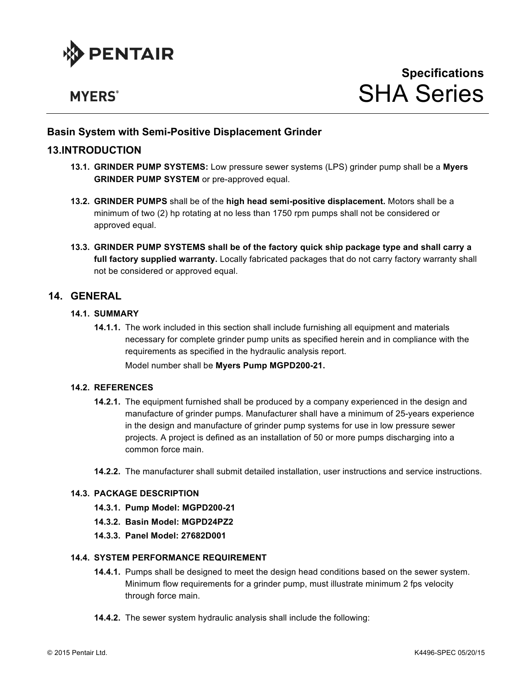

# **MYERS**<sup>®</sup>

# **Basin System with Semi-Positive Displacement Grinder**

# **13.INTRODUCTION**

- **13.1. GRINDER PUMP SYSTEMS:** Low pressure sewer systems (LPS) grinder pump shall be a **Myers GRINDER PUMP SYSTEM** or pre-approved equal.
- **13.2. GRINDER PUMPS** shall be of the **high head semi-positive displacement.** Motors shall be a minimum of two (2) hp rotating at no less than 1750 rpm pumps shall not be considered or approved equal.
- **13.3. GRINDER PUMP SYSTEMS shall be of the factory quick ship package type and shall carry a full factory supplied warranty.** Locally fabricated packages that do not carry factory warranty shall not be considered or approved equal.

# **14. GENERAL**

# **14.1. SUMMARY**

**14.1.1.** The work included in this section shall include furnishing all equipment and materials necessary for complete grinder pump units as specified herein and in compliance with the requirements as specified in the hydraulic analysis report.

Model number shall be **Myers Pump MGPD200-21.**

#### **14.2. REFERENCES**

- **14.2.1.** The equipment furnished shall be produced by a company experienced in the design and manufacture of grinder pumps. Manufacturer shall have a minimum of 25-years experience in the design and manufacture of grinder pump systems for use in low pressure sewer projects. A project is defined as an installation of 50 or more pumps discharging into a common force main.
- **14.2.2.** The manufacturer shall submit detailed installation, user instructions and service instructions.

# **14.3. PACKAGE DESCRIPTION**

- **14.3.1. Pump Model: MGPD200-21**
- **14.3.2. Basin Model: MGPD24PZ2**
- **14.3.3. Panel Model: 27682D001**

#### **14.4. SYSTEM PERFORMANCE REQUIREMENT**

- **14.4.1.** Pumps shall be designed to meet the design head conditions based on the sewer system. Minimum flow requirements for a grinder pump, must illustrate minimum 2 fps velocity through force main.
- **14.4.2.** The sewer system hydraulic analysis shall include the following: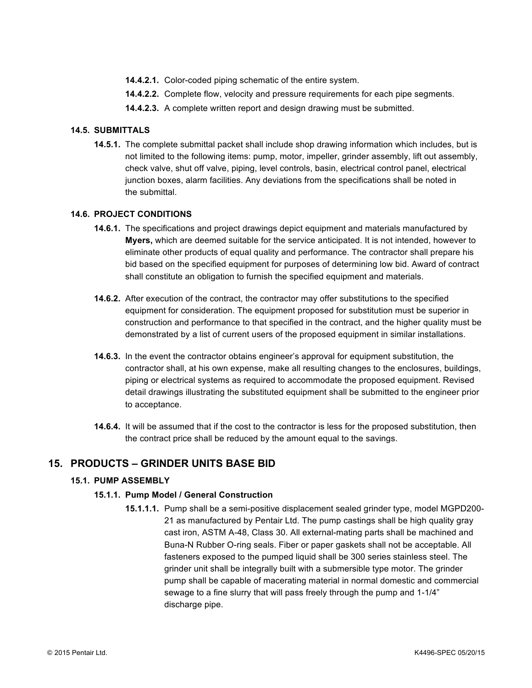- **14.4.2.1.** Color-coded piping schematic of the entire system.
- **14.4.2.2.** Complete flow, velocity and pressure requirements for each pipe segments.
- **14.4.2.3.** A complete written report and design drawing must be submitted.

# **14.5. SUBMITTALS**

**14.5.1.** The complete submittal packet shall include shop drawing information which includes, but is not limited to the following items: pump, motor, impeller, grinder assembly, lift out assembly, check valve, shut off valve, piping, level controls, basin, electrical control panel, electrical junction boxes, alarm facilities. Any deviations from the specifications shall be noted in the submittal.

# **14.6. PROJECT CONDITIONS**

- **14.6.1.** The specifications and project drawings depict equipment and materials manufactured by **Myers,** which are deemed suitable for the service anticipated. It is not intended, however to eliminate other products of equal quality and performance. The contractor shall prepare his bid based on the specified equipment for purposes of determining low bid. Award of contract shall constitute an obligation to furnish the specified equipment and materials.
- **14.6.2.** After execution of the contract, the contractor may offer substitutions to the specified equipment for consideration. The equipment proposed for substitution must be superior in construction and performance to that specified in the contract, and the higher quality must be demonstrated by a list of current users of the proposed equipment in similar installations.
- **14.6.3.** In the event the contractor obtains engineer's approval for equipment substitution, the contractor shall, at his own expense, make all resulting changes to the enclosures, buildings, piping or electrical systems as required to accommodate the proposed equipment. Revised detail drawings illustrating the substituted equipment shall be submitted to the engineer prior to acceptance.
- **14.6.4.** It will be assumed that if the cost to the contractor is less for the proposed substitution, then the contract price shall be reduced by the amount equal to the savings.

# **15. PRODUCTS – GRINDER UNITS BASE BID**

# **15.1. PUMP ASSEMBLY**

# **15.1.1. Pump Model / General Construction**

**15.1.1.1.** Pump shall be a semi-positive displacement sealed grinder type, model MGPD200- 21 as manufactured by Pentair Ltd. The pump castings shall be high quality gray cast iron, ASTM A-48, Class 30. All external-mating parts shall be machined and Buna-N Rubber O-ring seals. Fiber or paper gaskets shall not be acceptable. All fasteners exposed to the pumped liquid shall be 300 series stainless steel. The grinder unit shall be integrally built with a submersible type motor. The grinder pump shall be capable of macerating material in normal domestic and commercial sewage to a fine slurry that will pass freely through the pump and 1-1/4" discharge pipe.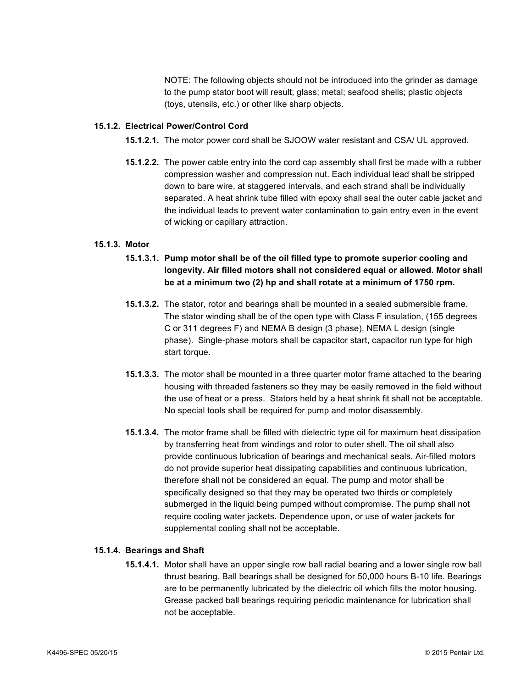NOTE: The following objects should not be introduced into the grinder as damage to the pump stator boot will result; glass; metal; seafood shells; plastic objects (toys, utensils, etc.) or other like sharp objects.

# **15.1.2. Electrical Power/Control Cord**

- **15.1.2.1.** The motor power cord shall be SJOOW water resistant and CSA/ UL approved.
- **15.1.2.2.** The power cable entry into the cord cap assembly shall first be made with a rubber compression washer and compression nut. Each individual lead shall be stripped down to bare wire, at staggered intervals, and each strand shall be individually separated. A heat shrink tube filled with epoxy shall seal the outer cable jacket and the individual leads to prevent water contamination to gain entry even in the event of wicking or capillary attraction.

# **15.1.3. Motor**

- **15.1.3.1. Pump motor shall be of the oil filled type to promote superior cooling and longevity. Air filled motors shall not considered equal or allowed. Motor shall be at a minimum two (2) hp and shall rotate at a minimum of 1750 rpm.**
- **15.1.3.2.** The stator, rotor and bearings shall be mounted in a sealed submersible frame. The stator winding shall be of the open type with Class F insulation, (155 degrees C or 311 degrees F) and NEMA B design (3 phase), NEMA L design (single phase). Single-phase motors shall be capacitor start, capacitor run type for high start torque.
- **15.1.3.3.** The motor shall be mounted in a three quarter motor frame attached to the bearing housing with threaded fasteners so they may be easily removed in the field without the use of heat or a press. Stators held by a heat shrink fit shall not be acceptable. No special tools shall be required for pump and motor disassembly.
- **15.1.3.4.** The motor frame shall be filled with dielectric type oil for maximum heat dissipation by transferring heat from windings and rotor to outer shell. The oil shall also provide continuous lubrication of bearings and mechanical seals. Air-filled motors do not provide superior heat dissipating capabilities and continuous lubrication, therefore shall not be considered an equal. The pump and motor shall be specifically designed so that they may be operated two thirds or completely submerged in the liquid being pumped without compromise. The pump shall not require cooling water jackets. Dependence upon, or use of water jackets for supplemental cooling shall not be acceptable.

## **15.1.4. Bearings and Shaft**

**15.1.4.1.** Motor shall have an upper single row ball radial bearing and a lower single row ball thrust bearing. Ball bearings shall be designed for 50,000 hours B-10 life. Bearings are to be permanently lubricated by the dielectric oil which fills the motor housing. Grease packed ball bearings requiring periodic maintenance for lubrication shall not be acceptable.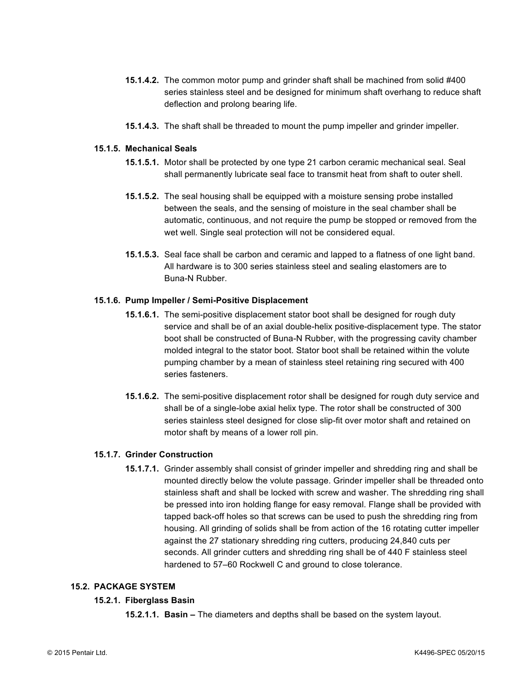- **15.1.4.2.** The common motor pump and grinder shaft shall be machined from solid #400 series stainless steel and be designed for minimum shaft overhang to reduce shaft deflection and prolong bearing life.
- **15.1.4.3.** The shaft shall be threaded to mount the pump impeller and grinder impeller.

# **15.1.5. Mechanical Seals**

- **15.1.5.1.** Motor shall be protected by one type 21 carbon ceramic mechanical seal. Seal shall permanently lubricate seal face to transmit heat from shaft to outer shell.
- **15.1.5.2.** The seal housing shall be equipped with a moisture sensing probe installed between the seals, and the sensing of moisture in the seal chamber shall be automatic, continuous, and not require the pump be stopped or removed from the wet well. Single seal protection will not be considered equal.
- **15.1.5.3.** Seal face shall be carbon and ceramic and lapped to a flatness of one light band. All hardware is to 300 series stainless steel and sealing elastomers are to Buna-N Rubber.

# **15.1.6. Pump Impeller / Semi-Positive Displacement**

- **15.1.6.1.** The semi-positive displacement stator boot shall be designed for rough duty service and shall be of an axial double-helix positive-displacement type. The stator boot shall be constructed of Buna-N Rubber, with the progressing cavity chamber molded integral to the stator boot. Stator boot shall be retained within the volute pumping chamber by a mean of stainless steel retaining ring secured with 400 series fasteners.
- **15.1.6.2.** The semi-positive displacement rotor shall be designed for rough duty service and shall be of a single-lobe axial helix type. The rotor shall be constructed of 300 series stainless steel designed for close slip-fit over motor shaft and retained on motor shaft by means of a lower roll pin.

# **15.1.7. Grinder Construction**

**15.1.7.1.** Grinder assembly shall consist of grinder impeller and shredding ring and shall be mounted directly below the volute passage. Grinder impeller shall be threaded onto stainless shaft and shall be locked with screw and washer. The shredding ring shall be pressed into iron holding flange for easy removal. Flange shall be provided with tapped back-off holes so that screws can be used to push the shredding ring from housing. All grinding of solids shall be from action of the 16 rotating cutter impeller against the 27 stationary shredding ring cutters, producing 24,840 cuts per seconds. All grinder cutters and shredding ring shall be of 440 F stainless steel hardened to 57–60 Rockwell C and ground to close tolerance.

#### **15.2. PACKAGE SYSTEM**

#### **15.2.1. Fiberglass Basin**

**15.2.1.1. Basin –** The diameters and depths shall be based on the system layout.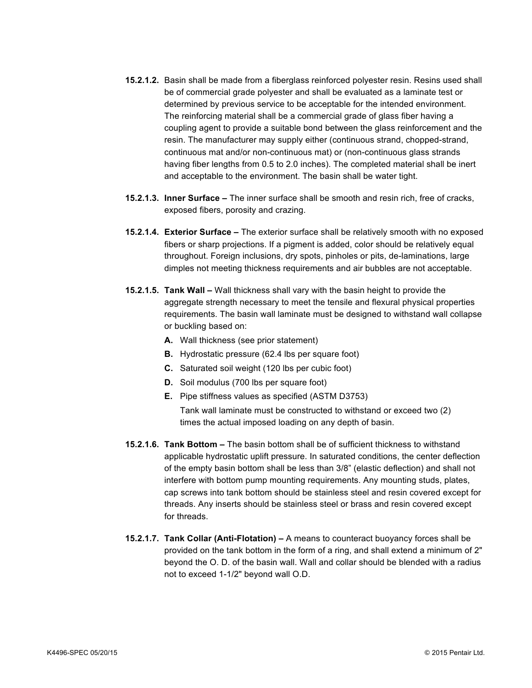- **15.2.1.2.** Basin shall be made from a fiberglass reinforced polyester resin. Resins used shall be of commercial grade polyester and shall be evaluated as a laminate test or determined by previous service to be acceptable for the intended environment. The reinforcing material shall be a commercial grade of glass fiber having a coupling agent to provide a suitable bond between the glass reinforcement and the resin. The manufacturer may supply either (continuous strand, chopped-strand, continuous mat and/or non-continuous mat) or (non-continuous glass strands having fiber lengths from 0.5 to 2.0 inches). The completed material shall be inert and acceptable to the environment. The basin shall be water tight.
- **15.2.1.3. Inner Surface –** The inner surface shall be smooth and resin rich, free of cracks, exposed fibers, porosity and crazing.
- **15.2.1.4. Exterior Surface –** The exterior surface shall be relatively smooth with no exposed fibers or sharp projections. If a pigment is added, color should be relatively equal throughout. Foreign inclusions, dry spots, pinholes or pits, de-laminations, large dimples not meeting thickness requirements and air bubbles are not acceptable.
- **15.2.1.5. Tank Wall –** Wall thickness shall vary with the basin height to provide the aggregate strength necessary to meet the tensile and flexural physical properties requirements. The basin wall laminate must be designed to withstand wall collapse or buckling based on:
	- **A.** Wall thickness (see prior statement)
	- **B.** Hydrostatic pressure (62.4 lbs per square foot)
	- **C.** Saturated soil weight (120 lbs per cubic foot)
	- **D.** Soil modulus (700 lbs per square foot)
	- **E.** Pipe stiffness values as specified (ASTM D3753)

Tank wall laminate must be constructed to withstand or exceed two (2) times the actual imposed loading on any depth of basin.

- **15.2.1.6. Tank Bottom –** The basin bottom shall be of sufficient thickness to withstand applicable hydrostatic uplift pressure. In saturated conditions, the center deflection of the empty basin bottom shall be less than 3/8" (elastic deflection) and shall not interfere with bottom pump mounting requirements. Any mounting studs, plates, cap screws into tank bottom should be stainless steel and resin covered except for threads. Any inserts should be stainless steel or brass and resin covered except for threads.
- **15.2.1.7. Tank Collar (Anti-Flotation) –** A means to counteract buoyancy forces shall be provided on the tank bottom in the form of a ring, and shall extend a minimum of 2" beyond the O. D. of the basin wall. Wall and collar should be blended with a radius not to exceed 1-1/2" beyond wall O.D.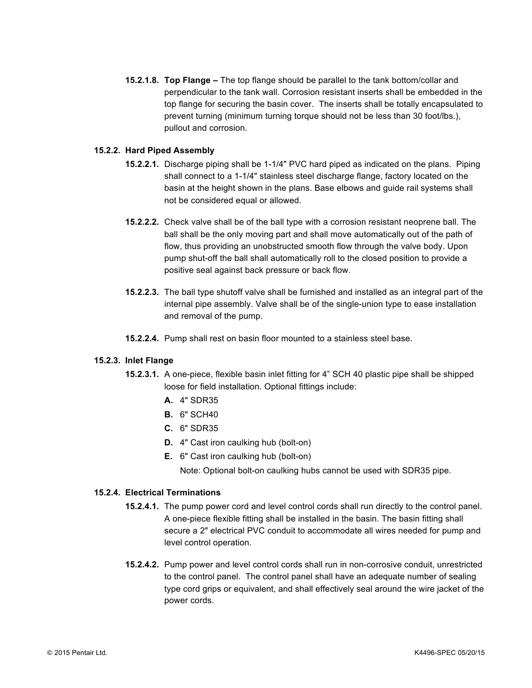**15.2.1.8. Top Flange –** The top flange should be parallel to the tank bottom/collar and perpendicular to the tank wall. Corrosion resistant inserts shall be embedded in the top flange for securing the basin cover. The inserts shall be totally encapsulated to prevent turning (minimum turning torque should not be less than 30 foot/lbs.), pullout and corrosion.

#### **15.2.2. Hard Piped Assembly**

- **15.2.2.1.** Discharge piping shall be 1-1/4" PVC hard piped as indicated on the plans. Piping shall connect to a 1-1/4" stainless steel discharge flange, factory located on the basin at the height shown in the plans. Base elbows and guide rail systems shall not be considered equal or allowed.
- **15.2.2.2.** Check valve shall be of the ball type with a corrosion resistant neoprene ball. The ball shall be the only moving part and shall move automatically out of the path of flow, thus providing an unobstructed smooth flow through the valve body. Upon pump shut-off the ball shall automatically roll to the closed position to provide a positive seal against back pressure or back flow.
- **15.2.2.3.** The ball type shutoff valve shall be furnished and installed as an integral part of the internal pipe assembly. Valve shall be of the single-union type to ease installation and removal of the pump.
- **15.2.2.4.** Pump shall rest on basin floor mounted to a stainless steel base.

#### **15.2.3. Inlet Flange**

- **15.2.3.1.** A one-piece, flexible basin inlet fitting for 4" SCH 40 plastic pipe shall be shipped loose for field installation. Optional fittings include:
	- **A.** 4" SDR35
	- **B.** 6" SCH40
	- **C.** 6" SDR35
	- **D.** 4" Cast iron caulking hub (bolt-on)
	- **E.** 6" Cast iron caulking hub (bolt-on)

Note: Optional bolt-on caulking hubs cannot be used with SDR35 pipe.

#### **15.2.4. Electrical Terminations**

- **15.2.4.1.** The pump power cord and level control cords shall run directly to the control panel. A one-piece flexible fitting shall be installed in the basin. The basin fitting shall secure a 2" electrical PVC conduit to accommodate all wires needed for pump and level control operation.
- **15.2.4.2.** Pump power and level control cords shall run in non-corrosive conduit, unrestricted to the control panel. The control panel shall have an adequate number of sealing type cord grips or equivalent, and shall effectively seal around the wire jacket of the power cords.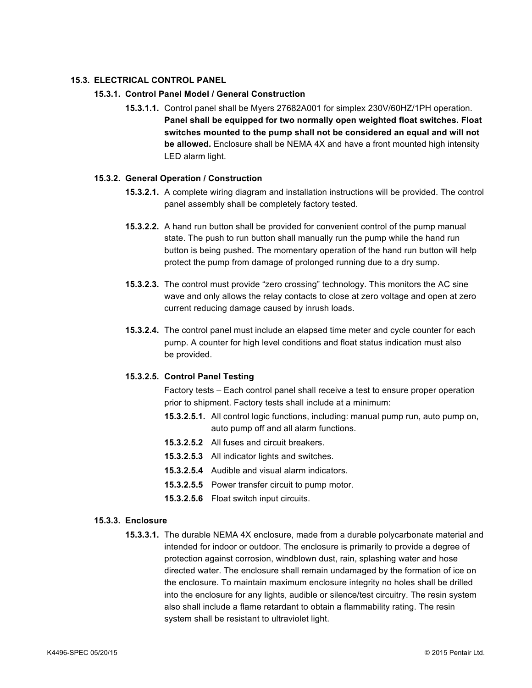## **15.3. ELECTRICAL CONTROL PANEL**

# **15.3.1. Control Panel Model / General Construction**

**15.3.1.1.** Control panel shall be Myers 27682A001 for simplex 230V/60HZ/1PH operation. **Panel shall be equipped for two normally open weighted float switches. Float switches mounted to the pump shall not be considered an equal and will not be allowed.** Enclosure shall be NEMA 4X and have a front mounted high intensity LED alarm light.

#### **15.3.2. General Operation / Construction**

- **15.3.2.1.** A complete wiring diagram and installation instructions will be provided. The control panel assembly shall be completely factory tested.
- **15.3.2.2.** A hand run button shall be provided for convenient control of the pump manual state. The push to run button shall manually run the pump while the hand run button is being pushed. The momentary operation of the hand run button will help protect the pump from damage of prolonged running due to a dry sump.
- **15.3.2.3.** The control must provide "zero crossing" technology. This monitors the AC sine wave and only allows the relay contacts to close at zero voltage and open at zero current reducing damage caused by inrush loads.
- **15.3.2.4.** The control panel must include an elapsed time meter and cycle counter for each pump. A counter for high level conditions and float status indication must also be provided.

#### **15.3.2.5. Control Panel Testing**

Factory tests – Each control panel shall receive a test to ensure proper operation prior to shipment. Factory tests shall include at a minimum:

- **15.3.2.5.1.** All control logic functions, including: manual pump run, auto pump on, auto pump off and all alarm functions.
- **15.3.2.5.2** All fuses and circuit breakers.
- **15.3.2.5.3** All indicator lights and switches.
- **15.3.2.5.4** Audible and visual alarm indicators.
- **15.3.2.5.5** Power transfer circuit to pump motor.
- **15.3.2.5.6** Float switch input circuits.

#### **15.3.3. Enclosure**

**15.3.3.1.** The durable NEMA 4X enclosure, made from a durable polycarbonate material and intended for indoor or outdoor. The enclosure is primarily to provide a degree of protection against corrosion, windblown dust, rain, splashing water and hose directed water. The enclosure shall remain undamaged by the formation of ice on the enclosure. To maintain maximum enclosure integrity no holes shall be drilled into the enclosure for any lights, audible or silence/test circuitry. The resin system also shall include a flame retardant to obtain a flammability rating. The resin system shall be resistant to ultraviolet light.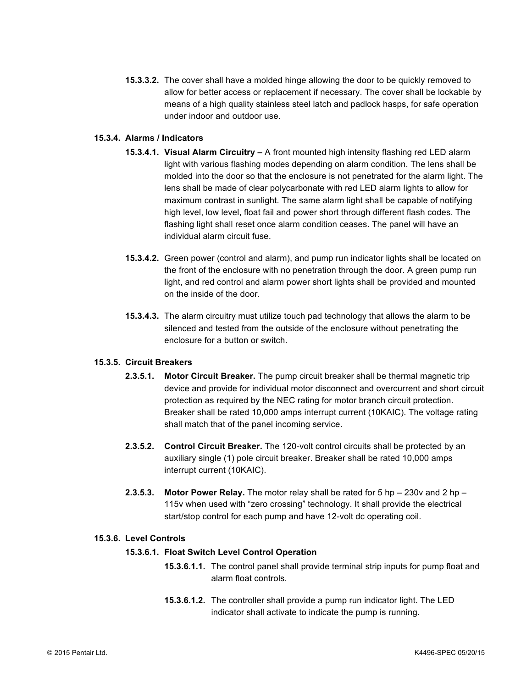**15.3.3.2.** The cover shall have a molded hinge allowing the door to be quickly removed to allow for better access or replacement if necessary. The cover shall be lockable by means of a high quality stainless steel latch and padlock hasps, for safe operation under indoor and outdoor use.

# **15.3.4. Alarms / Indicators**

- **15.3.4.1. Visual Alarm Circuitry –** A front mounted high intensity flashing red LED alarm light with various flashing modes depending on alarm condition. The lens shall be molded into the door so that the enclosure is not penetrated for the alarm light. The lens shall be made of clear polycarbonate with red LED alarm lights to allow for maximum contrast in sunlight. The same alarm light shall be capable of notifying high level, low level, float fail and power short through different flash codes. The flashing light shall reset once alarm condition ceases. The panel will have an individual alarm circuit fuse.
- **15.3.4.2.** Green power (control and alarm), and pump run indicator lights shall be located on the front of the enclosure with no penetration through the door. A green pump run light, and red control and alarm power short lights shall be provided and mounted on the inside of the door.
- **15.3.4.3.** The alarm circuitry must utilize touch pad technology that allows the alarm to be silenced and tested from the outside of the enclosure without penetrating the enclosure for a button or switch.

#### **15.3.5. Circuit Breakers**

- **2.3.5.1. Motor Circuit Breaker.** The pump circuit breaker shall be thermal magnetic trip device and provide for individual motor disconnect and overcurrent and short circuit protection as required by the NEC rating for motor branch circuit protection. Breaker shall be rated 10,000 amps interrupt current (10KAIC). The voltage rating shall match that of the panel incoming service.
- **2.3.5.2. Control Circuit Breaker.** The 120-volt control circuits shall be protected by an auxiliary single (1) pole circuit breaker. Breaker shall be rated 10,000 amps interrupt current (10KAIC).
- **2.3.5.3. Motor Power Relay.** The motor relay shall be rated for 5 hp 230v and 2 hp 115v when used with "zero crossing" technology. It shall provide the electrical start/stop control for each pump and have 12-volt dc operating coil.

#### **15.3.6. Level Controls**

#### **15.3.6.1. Float Switch Level Control Operation**

- **15.3.6.1.1.** The control panel shall provide terminal strip inputs for pump float and alarm float controls.
- **15.3.6.1.2.** The controller shall provide a pump run indicator light. The LED indicator shall activate to indicate the pump is running.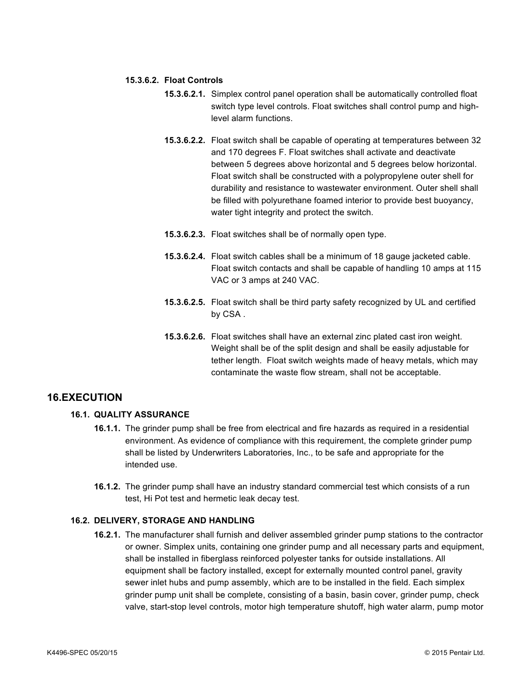#### **15.3.6.2. Float Controls**

- **15.3.6.2.1.** Simplex control panel operation shall be automatically controlled float switch type level controls. Float switches shall control pump and highlevel alarm functions.
- **15.3.6.2.2.** Float switch shall be capable of operating at temperatures between 32 and 170 degrees F. Float switches shall activate and deactivate between 5 degrees above horizontal and 5 degrees below horizontal. Float switch shall be constructed with a polypropylene outer shell for durability and resistance to wastewater environment. Outer shell shall be filled with polyurethane foamed interior to provide best buoyancy, water tight integrity and protect the switch.
- **15.3.6.2.3.** Float switches shall be of normally open type.
- **15.3.6.2.4.** Float switch cables shall be a minimum of 18 gauge jacketed cable. Float switch contacts and shall be capable of handling 10 amps at 115 VAC or 3 amps at 240 VAC.
- **15.3.6.2.5.** Float switch shall be third party safety recognized by UL and certified by CSA .
- **15.3.6.2.6.** Float switches shall have an external zinc plated cast iron weight. Weight shall be of the split design and shall be easily adjustable for tether length. Float switch weights made of heavy metals, which may contaminate the waste flow stream, shall not be acceptable.

# **16.EXECUTION**

# **16.1. QUALITY ASSURANCE**

- **16.1.1.** The grinder pump shall be free from electrical and fire hazards as required in a residential environment. As evidence of compliance with this requirement, the complete grinder pump shall be listed by Underwriters Laboratories, Inc., to be safe and appropriate for the intended use.
- **16.1.2.** The grinder pump shall have an industry standard commercial test which consists of a run test, Hi Pot test and hermetic leak decay test.

# **16.2. DELIVERY, STORAGE AND HANDLING**

**16.2.1.** The manufacturer shall furnish and deliver assembled grinder pump stations to the contractor or owner. Simplex units, containing one grinder pump and all necessary parts and equipment, shall be installed in fiberglass reinforced polyester tanks for outside installations. All equipment shall be factory installed, except for externally mounted control panel, gravity sewer inlet hubs and pump assembly, which are to be installed in the field. Each simplex grinder pump unit shall be complete, consisting of a basin, basin cover, grinder pump, check valve, start-stop level controls, motor high temperature shutoff, high water alarm, pump motor